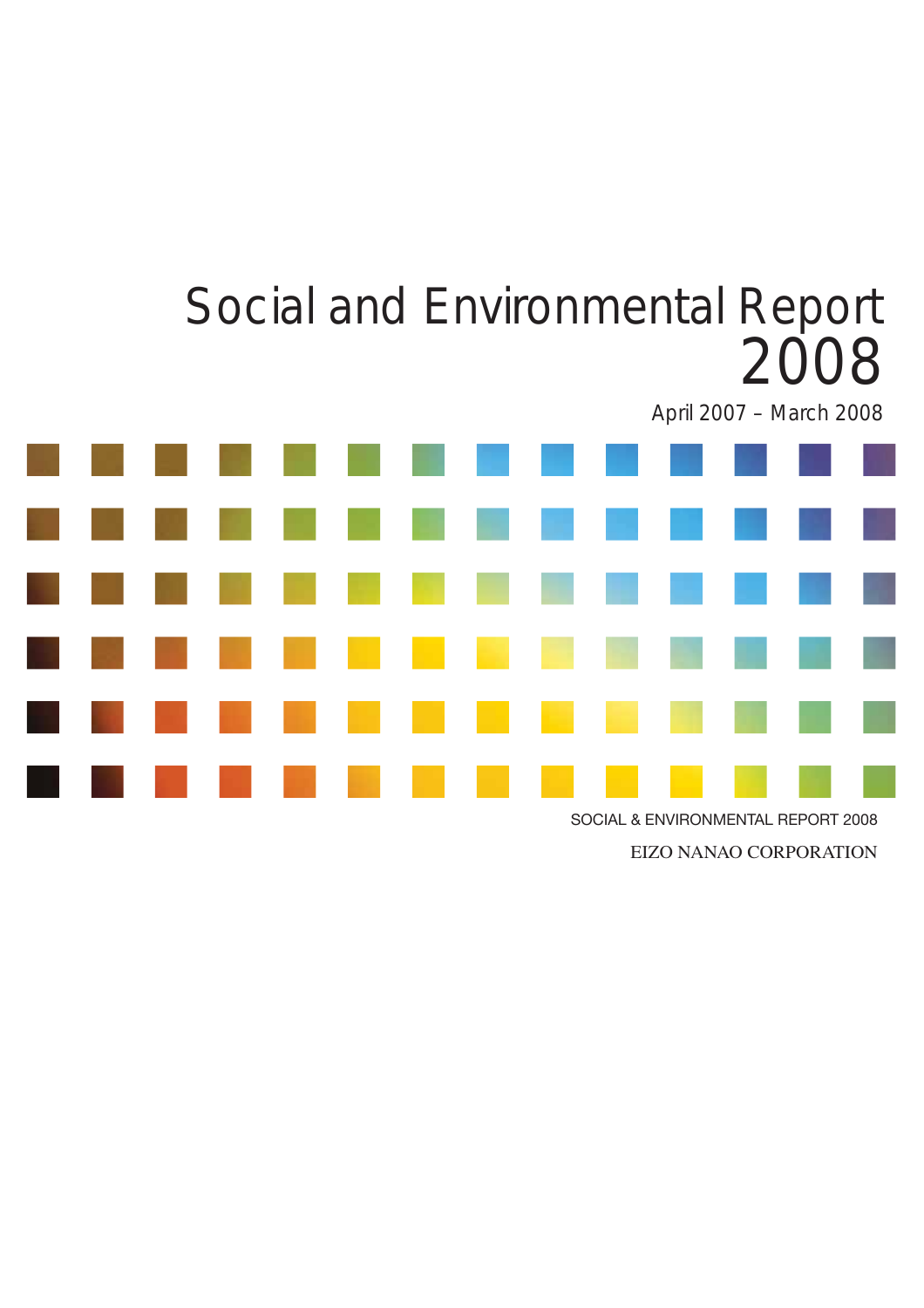

EIZO NANAO CORPORATION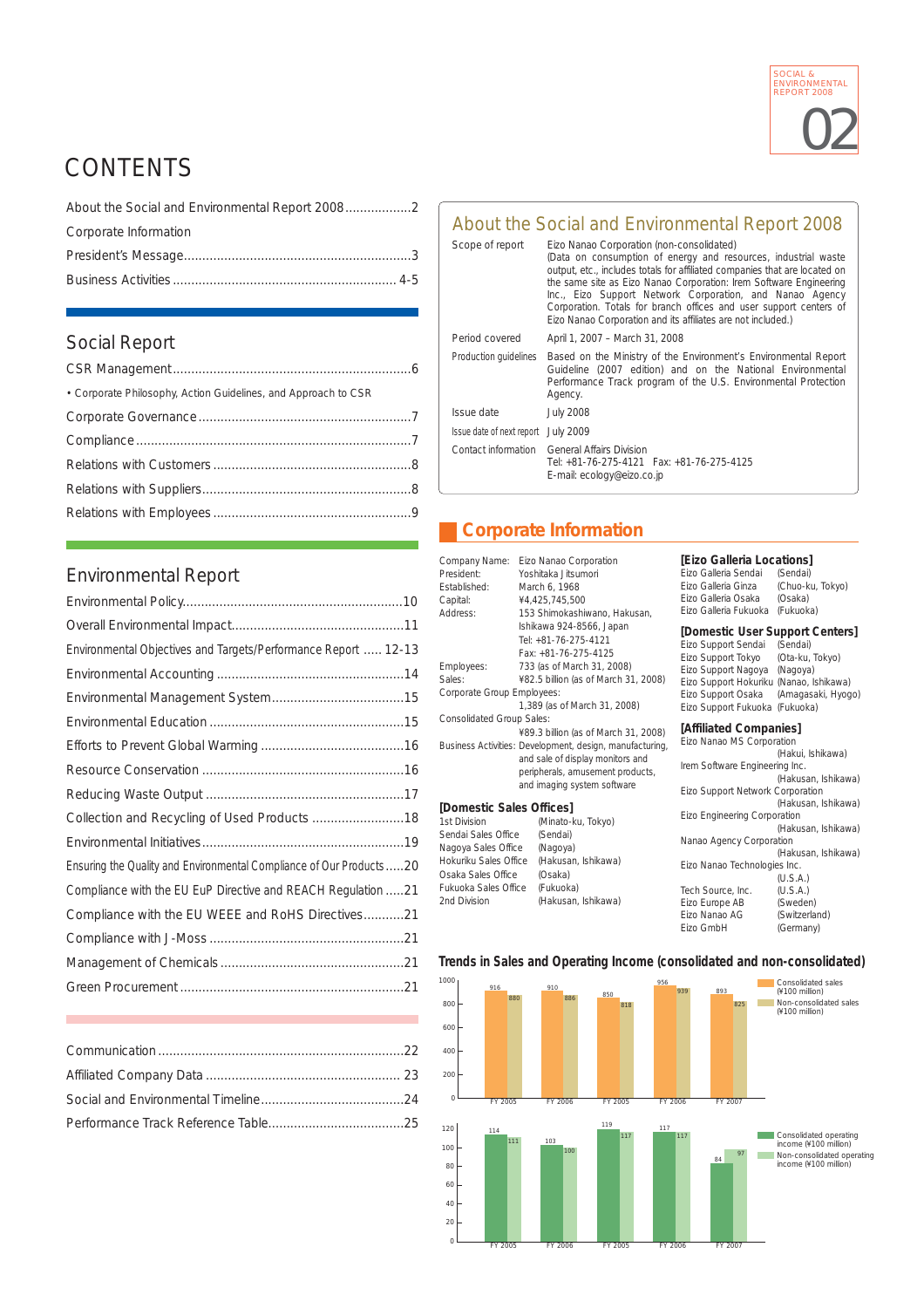

# CONTENTS

| Corporate Information |  |
|-----------------------|--|
|                       |  |
|                       |  |

### Social Report

### Environmental Report

| Environmental Objectives and Targets/Performance Report  12-13       |  |
|----------------------------------------------------------------------|--|
|                                                                      |  |
|                                                                      |  |
|                                                                      |  |
|                                                                      |  |
|                                                                      |  |
|                                                                      |  |
| Collection and Recycling of Used Products  18                        |  |
|                                                                      |  |
| Ensuring the Quality and Environmental Compliance of Our Products 20 |  |
| Compliance with the EU EuP Directive and REACH Regulation 21         |  |
| Compliance with the EU WEEE and RoHS Directives21                    |  |
|                                                                      |  |
|                                                                      |  |
|                                                                      |  |
|                                                                      |  |

### About the Social and Environmental Report 2008

| Scope of report                     | Eizo Nanao Corporation (non-consolidated)<br>(Data on consumption of energy and resources, industrial waste<br>output, etc., includes totals for affiliated companies that are located on<br>the same site as Eizo Nanao Corporation: Irem Software Engineering<br>Inc., Eizo Support Network Corporation, and Nanao Agency<br>Corporation. Totals for branch offices and user support centers of<br>Eizo Nanao Corporation and its affiliates are not included.) |
|-------------------------------------|-------------------------------------------------------------------------------------------------------------------------------------------------------------------------------------------------------------------------------------------------------------------------------------------------------------------------------------------------------------------------------------------------------------------------------------------------------------------|
| Period covered                      | April 1, 2007 - March 31, 2008                                                                                                                                                                                                                                                                                                                                                                                                                                    |
| Production guidelines               | Based on the Ministry of the Environment's Environmental Report<br>Guideline (2007 edition) and on the National Environmental<br>Performance Track program of the U.S. Environmental Protection<br>Agency.                                                                                                                                                                                                                                                        |
| Issue date                          | <b>July 2008</b>                                                                                                                                                                                                                                                                                                                                                                                                                                                  |
| Issue date of next report July 2009 |                                                                                                                                                                                                                                                                                                                                                                                                                                                                   |
| Contact information                 | <b>General Affairs Division</b><br>Tel: +81-76-275-4121    Fax: +81-76-275-4125<br>E-mail: ecology@eizo.co.jp                                                                                                                                                                                                                                                                                                                                                     |

### **Corporate Information**

| Company Name:<br>President:<br><b>Fstablished:</b><br>Capital:<br>Address:                                                                                                                                                                  | Eizo Nanao Corporation<br>Yoshitaka Jitsumori<br>March 6, 1968<br>¥4,425,745,500<br>153 Shimokashiwano, Hakusan,                                                               | [Eizo Galleria Locations]<br>Fizo Galleria Sendai<br>Eizo Galleria Ginza<br>Eizo Galleria Osaka<br>Eizo Galleria Fukuoka                                                                               | (Sendai)<br>(Chuo-ku, Tokyo)<br>(Osaka)<br>(Fukuoka)                                                                                |  |
|---------------------------------------------------------------------------------------------------------------------------------------------------------------------------------------------------------------------------------------------|--------------------------------------------------------------------------------------------------------------------------------------------------------------------------------|--------------------------------------------------------------------------------------------------------------------------------------------------------------------------------------------------------|-------------------------------------------------------------------------------------------------------------------------------------|--|
| Employees:<br>Sales:<br>Corporate Group Employees:                                                                                                                                                                                          | Ishikawa 924-8566, Japan<br>Tel: +81-76-275-4121<br>Fax: +81-76-275-4125<br>733 (as of March 31, 2008)<br>¥82.5 billion (as of March 31, 2008)<br>1,389 (as of March 31, 2008) | [Domestic User Support Centers]<br>Eizo Support Sendai<br>Eizo Support Tokyo<br>Eizo Support Nagoya<br>Eizo Support Hokuriku (Nanao, Ishikawa)<br>Eizo Support Osaka<br>Eizo Support Fukuoka (Fukuoka) | (Sendai)<br>(Ota-ku, Tokyo)<br>(Nagoya)<br>(Amagasaki, Hyogo)                                                                       |  |
| <b>Consolidated Group Sales:</b><br>¥89.3 billion (as of March 31, 2008)<br>Business Activities: Development, design, manufacturing,<br>and sale of display monitors and<br>peripherals, amusement products,<br>and imaging system software |                                                                                                                                                                                | [Affiliated Companies]<br>Eizo Nanao MS Corporation<br>(Hakui, Ishikawa)<br>Irem Software Engineering Inc.<br>(Hakusan, Ishikawa)<br>Eizo Support Network Corporation                                  |                                                                                                                                     |  |
| [Domestic Sales Offices]<br>1st Division<br>Sendai Sales Office<br>Nagoya Sales Office<br>Hokuriku Sales Office<br>Osaka Sales Office<br><b>Fukuoka Sales Office</b><br>2nd Division                                                        | (Minato-ku, Tokyo)<br>(Sendai)<br>(Nagoya)<br>(Hakusan, Ishikawa)<br>(Osaka)<br>(Fukuoka)<br>(Hakusan, Ishikawa)                                                               | Eizo Engineering Corporation<br>Nanao Agency Corporation<br>Eizo Nanao Technologies Inc.<br>Tech Source, Inc.<br>Eizo Europe AB<br>Fizo Nanao AG<br>Eizo GmbH                                          | (Hakusan, Ishikawa)<br>(Hakusan, Ishikawa)<br>(Hakusan, Ishikawa)<br>(U.S.A.)<br>(U.S.A.)<br>(Sweden)<br>(Switzerland)<br>(Germany) |  |

#### **Trends in Sales and Operating Income (consolidated and non-consolidated)**

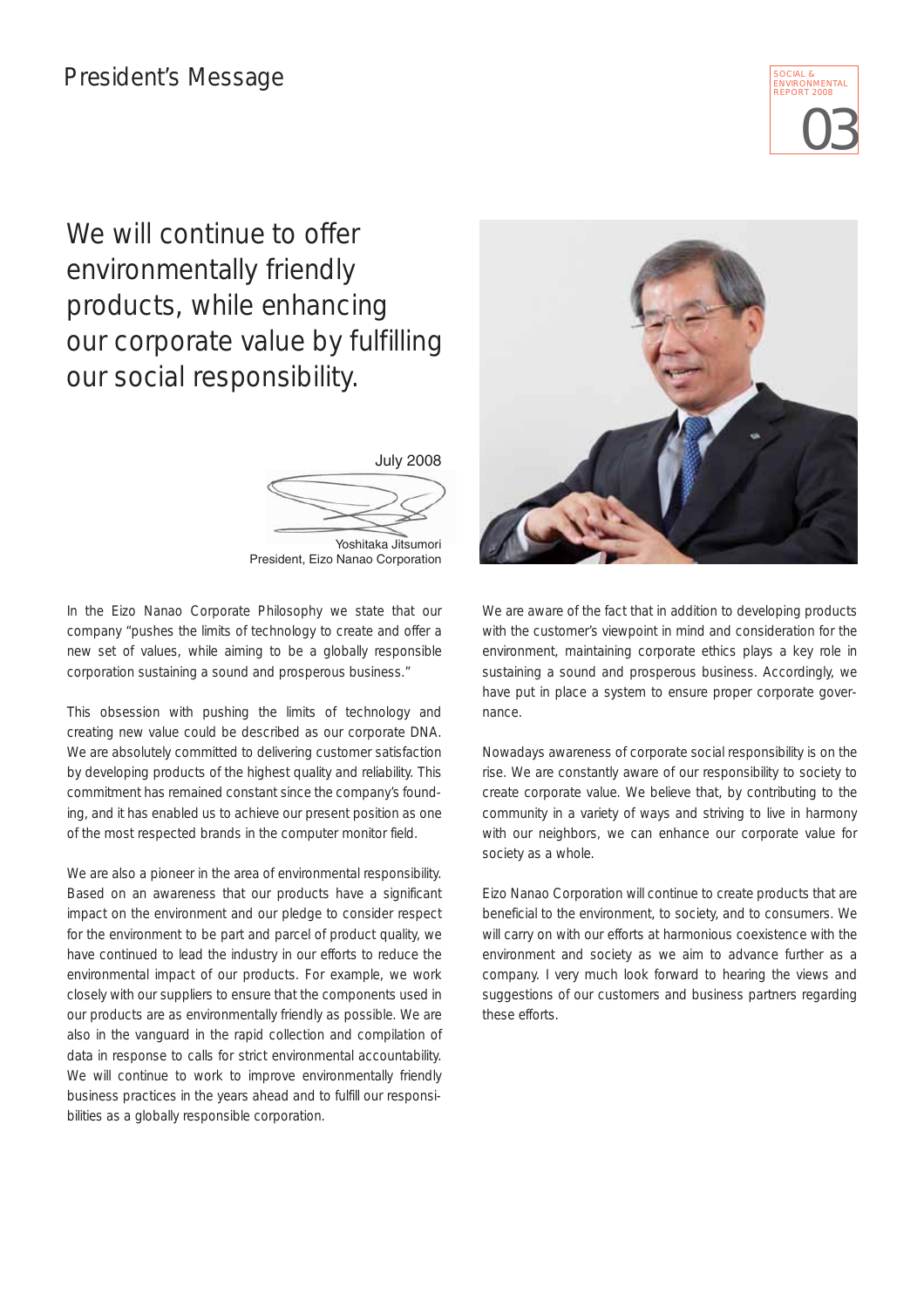

# We will continue to offer environmentally friendly products, while enhancing our corporate value by fulfilling our social responsibility.

July 2008 Yoshitaka Jitsumori President, Eizo Nanao Corporation

In the Eizo Nanao Corporate Philosophy we state that our company "pushes the limits of technology to create and offer a new set of values, while aiming to be a globally responsible corporation sustaining a sound and prosperous business."

This obsession with pushing the limits of technology and creating new value could be described as our corporate DNA. We are absolutely committed to delivering customer satisfaction by developing products of the highest quality and reliability. This commitment has remained constant since the company's founding, and it has enabled us to achieve our present position as one of the most respected brands in the computer monitor field.

We are also a pioneer in the area of environmental responsibility. Based on an awareness that our products have a significant impact on the environment and our pledge to consider respect for the environment to be part and parcel of product quality, we have continued to lead the industry in our efforts to reduce the environmental impact of our products. For example, we work closely with our suppliers to ensure that the components used in our products are as environmentally friendly as possible. We are also in the vanguard in the rapid collection and compilation of data in response to calls for strict environmental accountability. We will continue to work to improve environmentally friendly business practices in the years ahead and to fulfill our responsibilities as a globally responsible corporation.



We are aware of the fact that in addition to developing products with the customer's viewpoint in mind and consideration for the environment, maintaining corporate ethics plays a key role in sustaining a sound and prosperous business. Accordingly, we have put in place a system to ensure proper corporate governance.

Nowadays awareness of corporate social responsibility is on the rise. We are constantly aware of our responsibility to society to create corporate value. We believe that, by contributing to the community in a variety of ways and striving to live in harmony with our neighbors, we can enhance our corporate value for society as a whole.

Eizo Nanao Corporation will continue to create products that are beneficial to the environment, to society, and to consumers. We will carry on with our efforts at harmonious coexistence with the environment and society as we aim to advance further as a company. I very much look forward to hearing the views and suggestions of our customers and business partners regarding these efforts.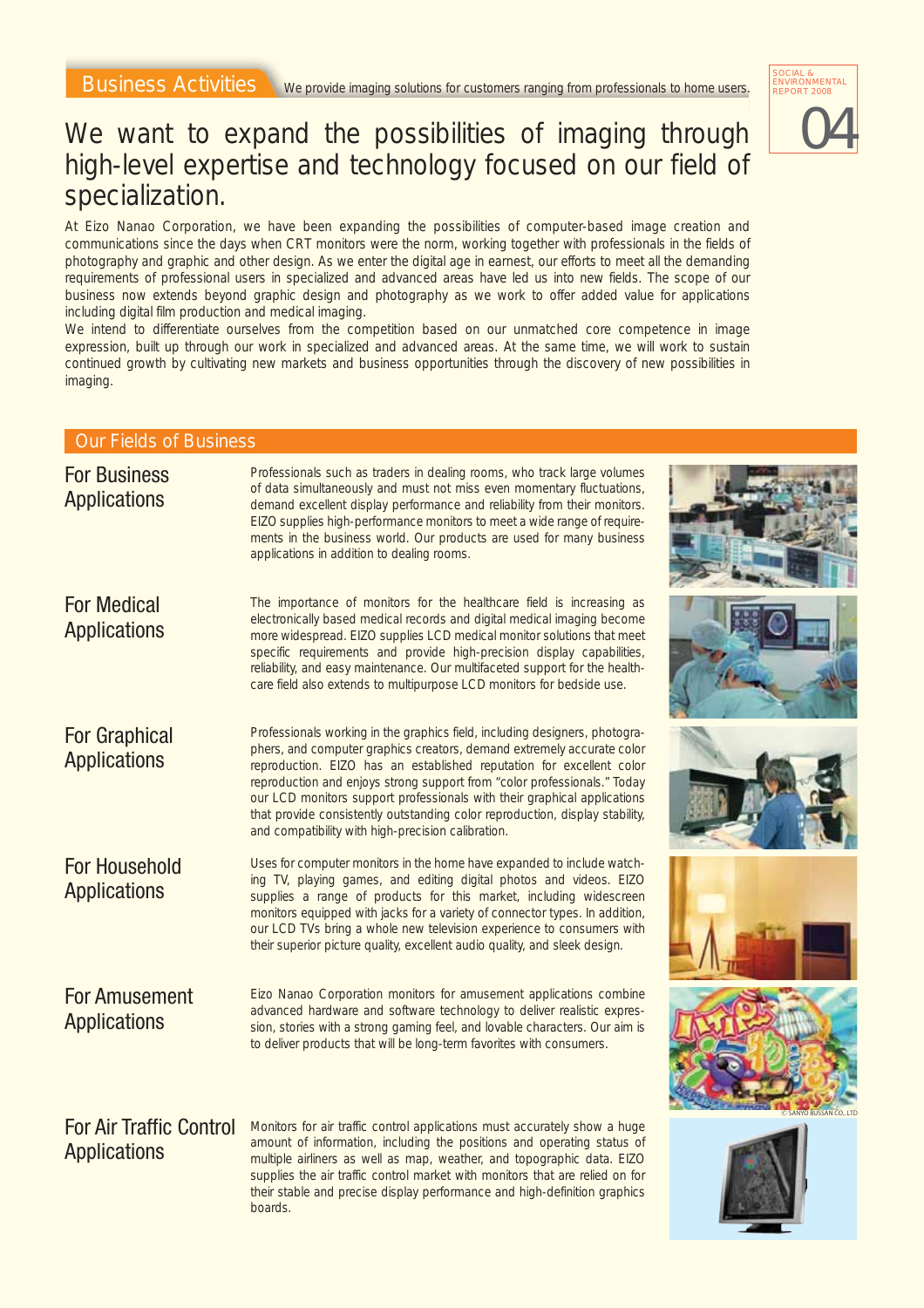### 04 SOCIAL & <sub>x</sub><br>IMENTAI REPORT 2008

### We want to expand the possibilities of imaging through high-level expertise and technology focused on our field of specialization.

At Eizo Nanao Corporation, we have been expanding the possibilities of computer-based image creation and communications since the days when CRT monitors were the norm, working together with professionals in the fields of photography and graphic and other design. As we enter the digital age in earnest, our efforts to meet all the demanding requirements of professional users in specialized and advanced areas have led us into new fields. The scope of our business now extends beyond graphic design and photography as we work to offer added value for applications including digital film production and medical imaging.

We intend to differentiate ourselves from the competition based on our unmatched core competence in image expression, built up through our work in specialized and advanced areas. At the same time, we will work to sustain continued growth by cultivating new markets and business opportunities through the discovery of new possibilities in imaging.

#### Our Fields of Business

| <b>For Business</b><br><b>Applications</b>            | Professionals such as traders in dealing rooms, who track large volumes<br>of data simultaneously and must not miss even momentary fluctuations,<br>demand excellent display performance and reliability from their monitors.<br>EIZO supplies high-performance monitors to meet a wide range of require-<br>ments in the business world. Our products are used for many business<br>applications in addition to dealing rooms.                                                                                             |                    |
|-------------------------------------------------------|-----------------------------------------------------------------------------------------------------------------------------------------------------------------------------------------------------------------------------------------------------------------------------------------------------------------------------------------------------------------------------------------------------------------------------------------------------------------------------------------------------------------------------|--------------------|
| <b>For Medical</b><br><b>Applications</b>             | The importance of monitors for the healthcare field is increasing as<br>electronically based medical records and digital medical imaging become<br>more widespread. EIZO supplies LCD medical monitor solutions that meet<br>specific requirements and provide high-precision display capabilities,<br>reliability, and easy maintenance. Our multifaceted support for the health-<br>care field also extends to multipurpose LCD monitors for bedside use.                                                                 |                    |
| <b>For Graphical</b><br><b>Applications</b>           | Professionals working in the graphics field, including designers, photogra-<br>phers, and computer graphics creators, demand extremely accurate color<br>reproduction. EIZO has an established reputation for excellent color<br>reproduction and enjoys strong support from "color professionals." Today<br>our LCD monitors support professionals with their graphical applications<br>that provide consistently outstanding color reproduction, display stability,<br>and compatibility with high-precision calibration. |                    |
| <b>For Household</b><br><b>Applications</b>           | Uses for computer monitors in the home have expanded to include watch-<br>ing TV, playing games, and editing digital photos and videos. EIZO<br>supplies a range of products for this market, including widescreen<br>monitors equipped with jacks for a variety of connector types. In addition,<br>our LCD TVs bring a whole new television experience to consumers with<br>their superior picture quality, excellent audio quality, and sleek design.                                                                    |                    |
| <b>For Amusement</b><br><b>Applications</b>           | Eizo Nanao Corporation monitors for amusement applications combine<br>advanced hardware and software technology to deliver realistic expres-<br>sion, stories with a strong gaming feel, and lovable characters. Our aim is<br>to deliver products that will be long-term favorites with consumers.                                                                                                                                                                                                                         | YO BUSSAN CO., LTC |
| <b>For Air Traffic Control</b><br><b>Applications</b> | Monitors for air traffic control applications must accurately show a huge<br>amount of information, including the positions and operating status of<br>multiple airliners as well as map, weather, and topographic data. EIZO<br>supplies the air traffic control market with monitors that are relied on for<br>their stable and precise display performance and high-definition graphics<br>boards.                                                                                                                       |                    |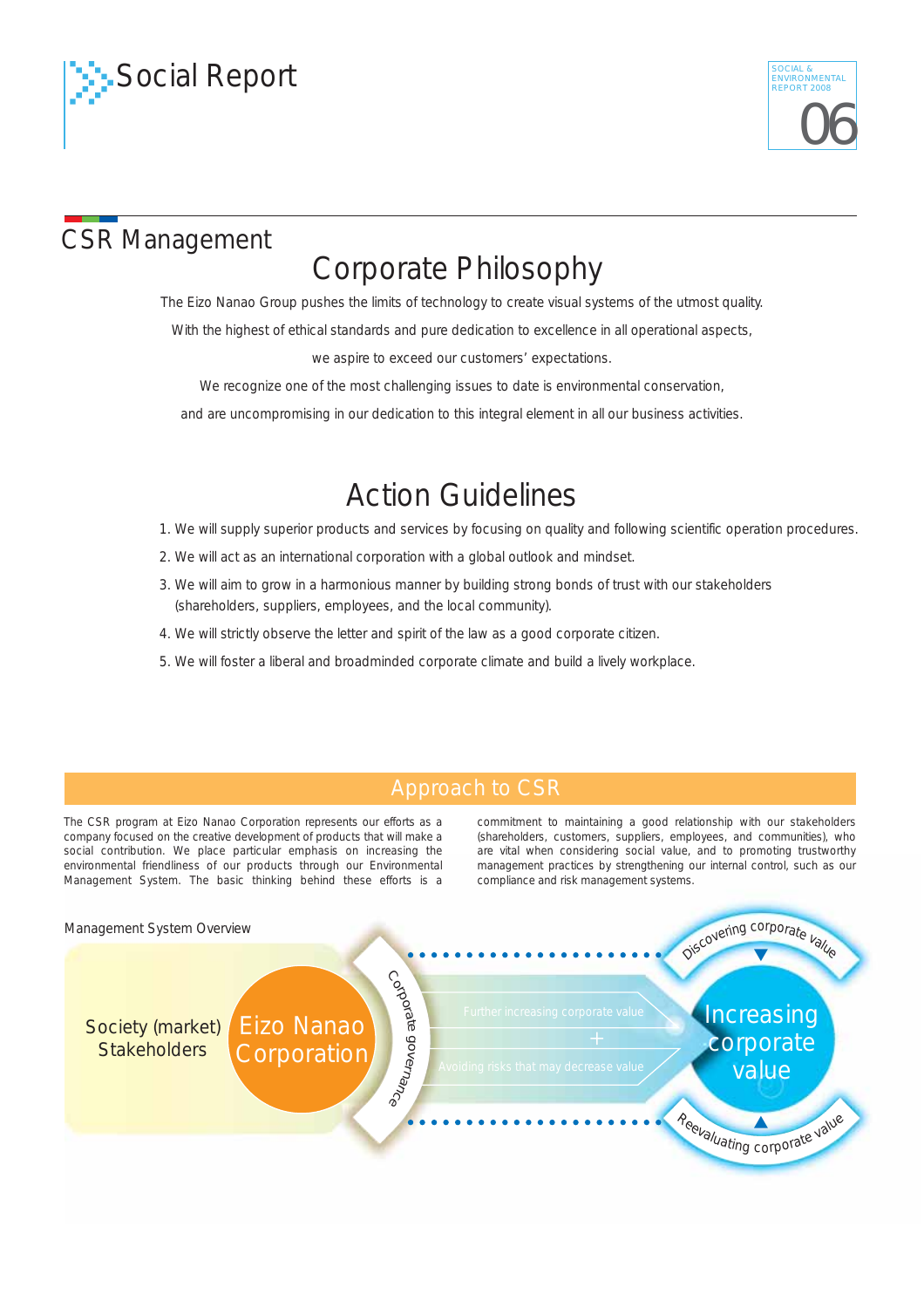



# CSR Management

# Corporate Philosophy

The Eizo Nanao Group pushes the limits of technology to create visual systems of the utmost quality.

With the highest of ethical standards and pure dedication to excellence in all operational aspects,

we aspire to exceed our customers' expectations.

We recognize one of the most challenging issues to date is environmental conservation,

and are uncompromising in our dedication to this integral element in all our business activities.

# Action Guidelines

1. We will supply superior products and services by focusing on quality and following scientific operation procedures.

- 2. We will act as an international corporation with a global outlook and mindset.
- 3. We will aim to grow in a harmonious manner by building strong bonds of trust with our stakeholders (shareholders, suppliers, employees, and the local community).
- 4. We will strictly observe the letter and spirit of the law as a good corporate citizen.
- 5. We will foster a liberal and broadminded corporate climate and build a lively workplace.

### Approach to CSR

The CSR program at Eizo Nanao Corporation represents our efforts as a company focused on the creative development of products that will make a social contribution. We place particular emphasis on increasing the environmental friendliness of our products through our Environmental Management System. The basic thinking behind these efforts is a

commitment to maintaining a good relationship with our stakeholders (shareholders, customers, suppliers, employees, and communities), who are vital when considering social value, and to promoting trustworthy management practices by strengthening our internal control, such as our compliance and risk management systems.

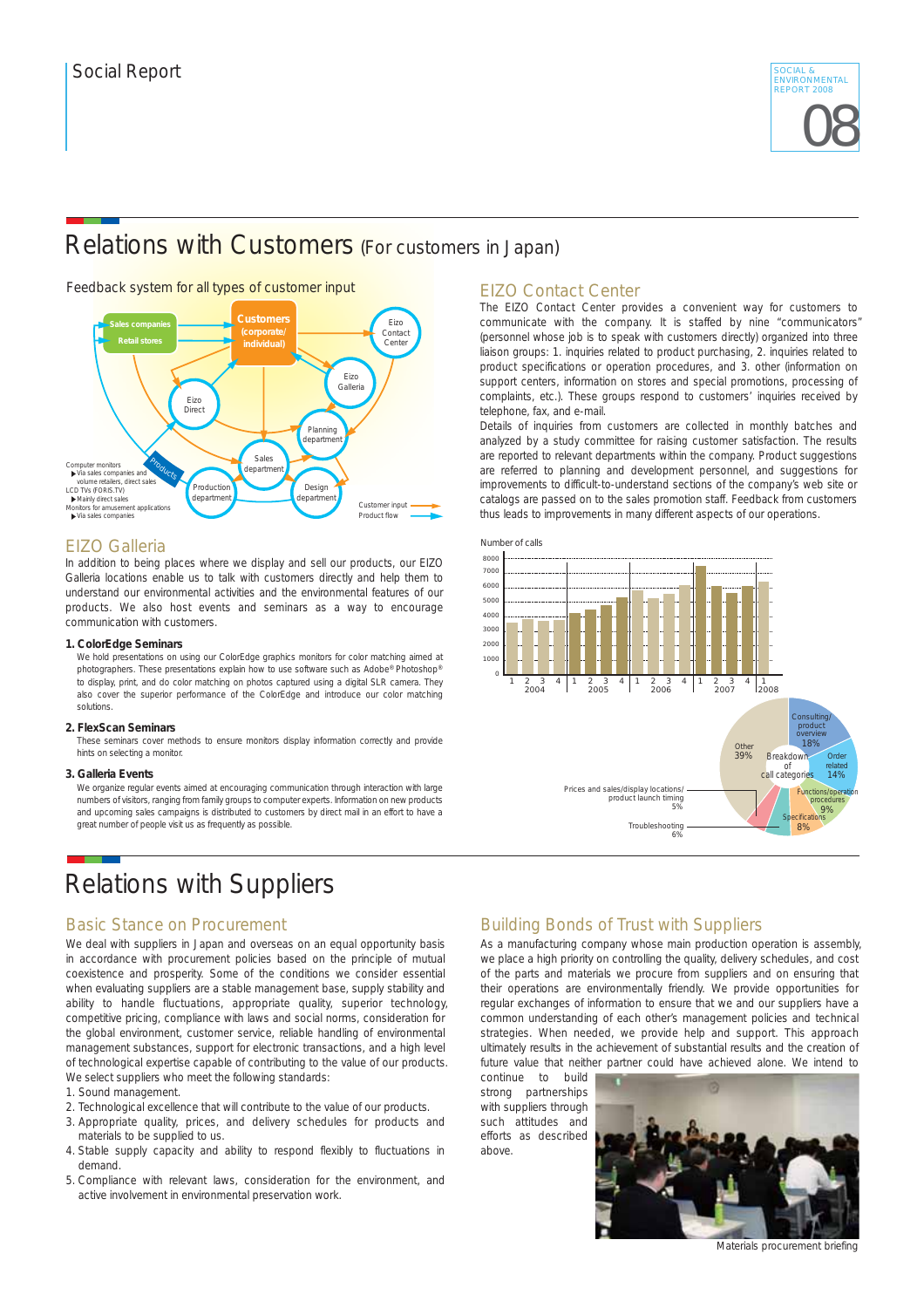

### Relations with Customers (For customers in Japan)

#### Feedback system for all types of customer input



#### EIZO Galleria

In addition to being places where we display and sell our products, our EIZO Galleria locations enable us to talk with customers directly and help them to understand our environmental activities and the environmental features of our products. We also host events and seminars as a way to encourage communication with customers.

#### **1. ColorEdge Seminars**

We hold presentations on using our ColorEdge graphics monitors for color matching aimed at photographers. These presentations explain how to use software such as Adobe® Photoshop® to display, print, and do color matching on photos captured using a digital SLR camera. They also cover the superior performance of the ColorEdge and introduce our color matching solutions.

#### **2. FlexScan Seminars**

These seminars cover methods to ensure monitors display information correctly and provide hints on selecting a monitor.

#### **3. Galleria Events**

We organize regular events aimed at encouraging communication through interaction with large numbers of visitors, ranging from family groups to computer experts. Information on new products and upcoming sales campaigns is distributed to customers by direct mail in an effort to have a great number of people visit us as frequently as possible.

### Relations with Suppliers

#### Basic Stance on Procurement

We deal with suppliers in Japan and overseas on an equal opportunity basis in accordance with procurement policies based on the principle of mutual coexistence and prosperity. Some of the conditions we consider essential when evaluating suppliers are a stable management base, supply stability and ability to handle fluctuations, appropriate quality, superior technology, competitive pricing, compliance with laws and social norms, consideration for the global environment, customer service, reliable handling of environmental management substances, support for electronic transactions, and a high level of technological expertise capable of contributing to the value of our products. We select suppliers who meet the following standards:

- 1. Sound management.
- 2. Technological excellence that will contribute to the value of our products.
- 3. Appropriate quality, prices, and delivery schedules for products and materials to be supplied to us.
- 4. Stable supply capacity and ability to respond flexibly to fluctuations in demand.
- 5. Compliance with relevant laws, consideration for the environment, and active involvement in environmental preservation work.

#### EIZO Contact Center

The EIZO Contact Center provides a convenient way for customers to communicate with the company. It is staffed by nine "communicators" (personnel whose job is to speak with customers directly) organized into three liaison groups: 1. inquiries related to product purchasing, 2. inquiries related to product specifications or operation procedures, and 3. other (information on support centers, information on stores and special promotions, processing of complaints, etc.). These groups respond to customers' inquiries received by telephone, fax, and e-mail.

Details of inquiries from customers are collected in monthly batches and analyzed by a study committee for raising customer satisfaction. The results are reported to relevant departments within the company. Product suggestions are referred to planning and development personnel, and suggestions for improvements to difficult-to-understand sections of the company's web site or catalogs are passed on to the sales promotion staff. Feedback from customers thus leads to improvements in many different aspects of our operations.



### Building Bonds of Trust with Suppliers

As a manufacturing company whose main production operation is assembly, we place a high priority on controlling the quality, delivery schedules, and cost of the parts and materials we procure from suppliers and on ensuring that their operations are environmentally friendly. We provide opportunities for regular exchanges of information to ensure that we and our suppliers have a common understanding of each other's management policies and technical strategies. When needed, we provide help and support. This approach ultimately results in the achievement of substantial results and the creation of future value that neither partner could have achieved alone. We intend to

continue to build strong partnerships with suppliers through such attitudes and efforts as described above.



Materials procurement briefing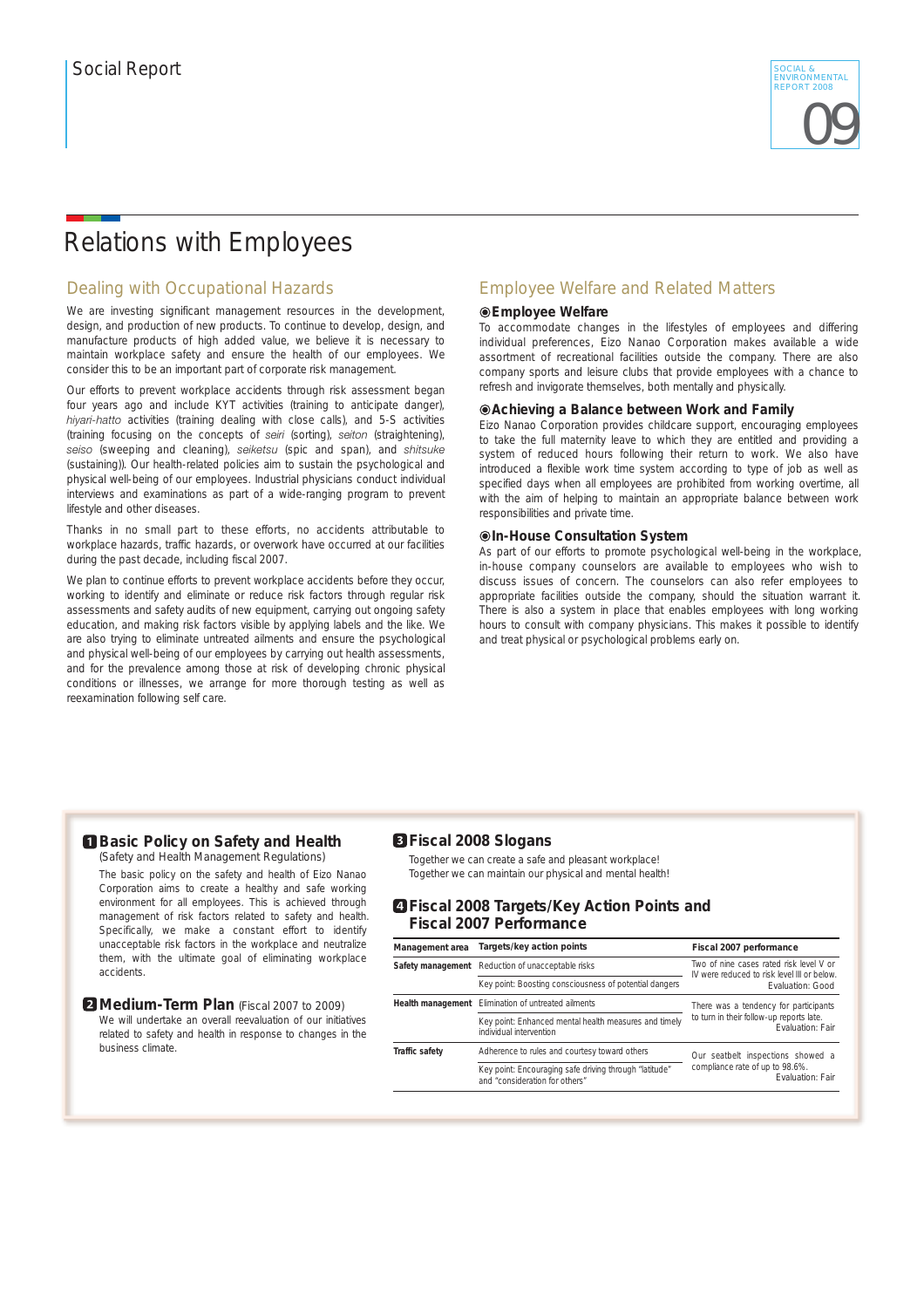### Relations with Employees

### Dealing with Occupational Hazards

We are investing significant management resources in the development. design, and production of new products. To continue to develop, design, and manufacture products of high added value, we believe it is necessary to maintain workplace safety and ensure the health of our employees. We consider this to be an important part of corporate risk management.

Our efforts to prevent workplace accidents through risk assessment began four years ago and include KYT activities (training to anticipate danger), *hiyari-hatto* activities (training dealing with close calls), and 5-S activities (training focusing on the concepts of *seiri* (sorting), *seiton* (straightening), *seiso* (sweeping and cleaning), *seiketsu* (spic and span), and *shitsuke* (sustaining)). Our health-related policies aim to sustain the psychological and physical well-being of our employees. Industrial physicians conduct individual interviews and examinations as part of a wide-ranging program to prevent lifestyle and other diseases.

Thanks in no small part to these efforts, no accidents attributable to workplace hazards, traffic hazards, or overwork have occurred at our facilities during the past decade, including fiscal 2007.

We plan to continue efforts to prevent workplace accidents before they occur, working to identify and eliminate or reduce risk factors through regular risk assessments and safety audits of new equipment, carrying out ongoing safety education, and making risk factors visible by applying labels and the like. We are also trying to eliminate untreated ailments and ensure the psychological and physical well-being of our employees by carrying out health assessments, and for the prevalence among those at risk of developing chronic physical conditions or illnesses, we arrange for more thorough testing as well as reexamination following self care.

### Employee Welfare and Related Matters

#### **Employee Welfare**

To accommodate changes in the lifestyles of employees and differing individual preferences, Eizo Nanao Corporation makes available a wide assortment of recreational facilities outside the company. There are also company sports and leisure clubs that provide employees with a chance to refresh and invigorate themselves, both mentally and physically.

#### **Achieving a Balance between Work and Family**

Eizo Nanao Corporation provides childcare support, encouraging employees to take the full maternity leave to which they are entitled and providing a system of reduced hours following their return to work. We also have introduced a flexible work time system according to type of job as well as specified days when all employees are prohibited from working overtime, all with the aim of helping to maintain an appropriate balance between work responsibilities and private time.

#### **In-House Consultation System**

As part of our efforts to promote psychological well-being in the workplace, in-house company counselors are available to employees who wish to discuss issues of concern. The counselors can also refer employees to appropriate facilities outside the company, should the situation warrant it. There is also a system in place that enables employees with long working hours to consult with company physicians. This makes it possible to identify and treat physical or psychological problems early on.

#### **Basic Policy on Safety and Health** (Safety and Health Management Regulations)

The basic policy on the safety and health of Eizo Nanao Corporation aims to create a healthy and safe working environment for all employees. This is achieved through management of risk factors related to safety and health. Specifically, we make a constant effort to identify unacceptable risk factors in the workplace and neutralize them, with the ultimate goal of eliminating workplace accidents.

#### **2** Medium-Term Plan (Fiscal 2007 to 2009)

We will undertake an overall reevaluation of our initiatives related to safety and health in response to changes in the business climate.

#### **Fiscal 2008 Slogans**

Together we can create a safe and pleasant workplace! Together we can maintain our physical and mental health!

#### **Fiscal 2008 Targets/Key Action Points and Fiscal 2007 Performance**

| Management area   | Targets/key action points                                                                | Fiscal 2007 performance                                                                |  |
|-------------------|------------------------------------------------------------------------------------------|----------------------------------------------------------------------------------------|--|
| Safety management | Reduction of unacceptable risks                                                          | Two of nine cases rated risk level V or<br>IV were reduced to risk level III or below. |  |
|                   | Key point: Boosting consciousness of potential dangers                                   | <b>Fvaluation: Good</b>                                                                |  |
| Health management | Elimination of untreated ailments                                                        | There was a tendency for participants                                                  |  |
|                   | Key point: Enhanced mental health measures and timely<br>individual intervention         | to turn in their follow-up reports late.<br>Fvaluation: Fair                           |  |
| Traffic safety    | Adherence to rules and courtesy toward others                                            | Our seatbelt inspections showed a                                                      |  |
|                   | Key point: Encouraging safe driving through "latitude"<br>and "consideration for others" | compliance rate of up to 98.6%.<br><b>Fvaluation: Fair</b>                             |  |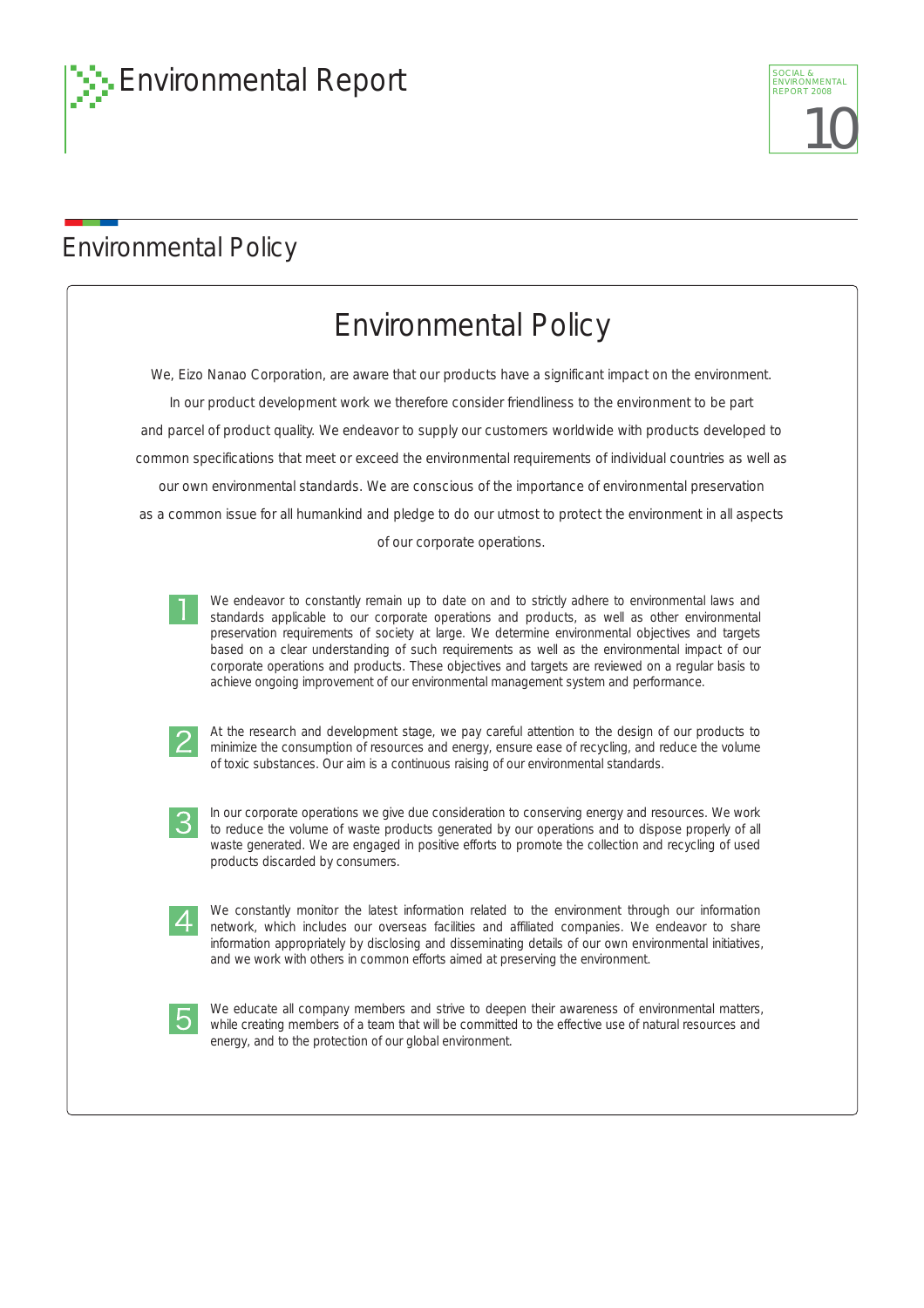

# Environmental Policy

| <b>Environmental Policy</b>                                                                                                                                                                                                                                                                                                                                                                                                                                                                                                                                                                                                                                                                                                                                                                                                                                                                          |
|------------------------------------------------------------------------------------------------------------------------------------------------------------------------------------------------------------------------------------------------------------------------------------------------------------------------------------------------------------------------------------------------------------------------------------------------------------------------------------------------------------------------------------------------------------------------------------------------------------------------------------------------------------------------------------------------------------------------------------------------------------------------------------------------------------------------------------------------------------------------------------------------------|
| We, Eizo Nanao Corporation, are aware that our products have a significant impact on the environment.                                                                                                                                                                                                                                                                                                                                                                                                                                                                                                                                                                                                                                                                                                                                                                                                |
| In our product development work we therefore consider friendliness to the environment to be part                                                                                                                                                                                                                                                                                                                                                                                                                                                                                                                                                                                                                                                                                                                                                                                                     |
| and parcel of product quality. We endeavor to supply our customers worldwide with products developed to                                                                                                                                                                                                                                                                                                                                                                                                                                                                                                                                                                                                                                                                                                                                                                                              |
| common specifications that meet or exceed the environmental requirements of individual countries as well as                                                                                                                                                                                                                                                                                                                                                                                                                                                                                                                                                                                                                                                                                                                                                                                          |
| our own environmental standards. We are conscious of the importance of environmental preservation                                                                                                                                                                                                                                                                                                                                                                                                                                                                                                                                                                                                                                                                                                                                                                                                    |
| as a common issue for all humankind and pledge to do our utmost to protect the environment in all aspects                                                                                                                                                                                                                                                                                                                                                                                                                                                                                                                                                                                                                                                                                                                                                                                            |
| of our corporate operations.                                                                                                                                                                                                                                                                                                                                                                                                                                                                                                                                                                                                                                                                                                                                                                                                                                                                         |
| We endeavor to constantly remain up to date on and to strictly adhere to environmental laws and<br>standards applicable to our corporate operations and products, as well as other environmental<br>preservation requirements of society at large. We determine environmental objectives and targets<br>based on a clear understanding of such requirements as well as the environmental impact of our<br>corporate operations and products. These objectives and targets are reviewed on a regular basis to<br>achieve ongoing improvement of our environmental management system and performance.<br>At the research and development stage, we pay careful attention to the design of our products to<br>minimize the consumption of resources and energy, ensure ease of recycling, and reduce the volume<br>of toxic substances. Our aim is a continuous raising of our environmental standards. |
| In our corporate operations we give due consideration to conserving energy and resources. We work<br>З<br>to reduce the volume of waste products generated by our operations and to dispose properly of all<br>waste generated. We are engaged in positive efforts to promote the collection and recycling of used<br>products discarded by consumers.                                                                                                                                                                                                                                                                                                                                                                                                                                                                                                                                               |
| We constantly monitor the latest information related to the environment through our information<br>4<br>network, which includes our overseas facilities and affiliated companies. We endeavor to share<br>information appropriately by disclosing and disseminating details of our own environmental initiatives,<br>and we work with others in common efforts aimed at preserving the environment.                                                                                                                                                                                                                                                                                                                                                                                                                                                                                                  |
| We educate all company members and strive to deepen their awareness of environmental matters,<br>while creating members of a team that will be committed to the effective use of natural resources and<br>energy, and to the protection of our global environment.                                                                                                                                                                                                                                                                                                                                                                                                                                                                                                                                                                                                                                   |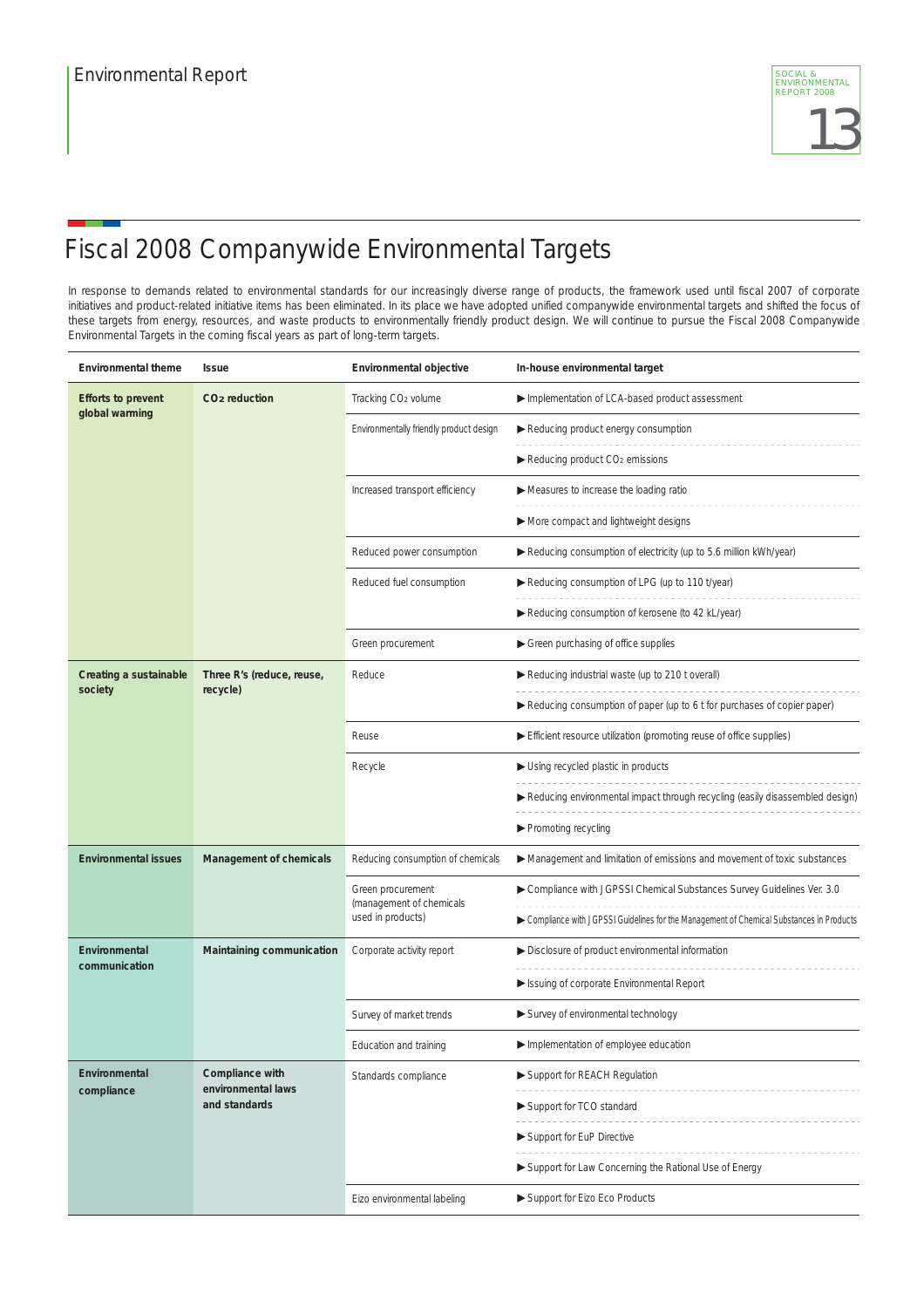

# Fiscal 2008 Companywide Environmental Targets

In response to demands related to environmental standards for our increasingly diverse range of products, the framework used until fiscal 2007 of corporate initiatives and product-related initiative items has been eliminated. In its place we have adopted unified companywide environmental targets and shifted the focus of these targets from energy, resources, and waste products to environmentally friendly product design. We will continue to pursue the Fiscal 2008 Companywide Environmental Targets in the coming fiscal years as part of long-term targets.

| Environmental theme                         | <b>Issue</b>                          | Environmental objective                       | In-house environmental target                                                             |
|---------------------------------------------|---------------------------------------|-----------------------------------------------|-------------------------------------------------------------------------------------------|
| <b>Efforts to prevent</b><br>global warming | CO <sub>2</sub> reduction             | Tracking CO <sub>2</sub> volume               | Implementation of LCA-based product assessment                                            |
|                                             |                                       | Environmentally friendly product design       | Reducing product energy consumption                                                       |
|                                             |                                       |                                               | $\blacktriangleright$ Reducing product CO <sub>2</sub> emissions                          |
|                                             |                                       | Increased transport efficiency                | Measures to increase the loading ratio                                                    |
|                                             |                                       |                                               | More compact and lightweight designs                                                      |
|                                             |                                       | Reduced power consumption                     | Reducing consumption of electricity (up to 5.6 million kWh/year)                          |
|                                             |                                       | Reduced fuel consumption                      | Reducing consumption of LPG (up to 110 t/year)                                            |
|                                             |                                       |                                               | Reducing consumption of kerosene (to 42 kL/year)                                          |
|                                             |                                       | Green procurement                             | Green purchasing of office supplies                                                       |
| Creating a sustainable<br>society           | Three R's (reduce, reuse,<br>recycle) | Reduce                                        | Reducing industrial waste (up to 210 t overall)                                           |
|                                             |                                       |                                               | Reducing consumption of paper (up to 6 t for purchases of copier paper)                   |
|                                             |                                       | Reuse                                         | Efficient resource utilization (promoting reuse of office supplies)                       |
|                                             |                                       | Recycle                                       | Using recycled plastic in products                                                        |
|                                             |                                       |                                               | Reducing environmental impact through recycling (easily disassembled design)              |
|                                             |                                       |                                               | ▶ Promoting recycling                                                                     |
| <b>Environmental issues</b>                 | Management of chemicals               | Reducing consumption of chemicals             | Management and limitation of emissions and movement of toxic substances                   |
|                                             |                                       | Green procurement<br>(management of chemicals | Compliance with JGPSSI Chemical Substances Survey Guidelines Ver. 3.0                     |
|                                             |                                       | used in products)                             | ▶ Compliance with JGPSSI Guidelines for the Management of Chemical Substances in Products |
| Environmental<br>communication              | Maintaining communication             | Corporate activity report                     | Disclosure of product environmental information                                           |
|                                             |                                       |                                               | Sisuing of corporate Environmental Report                                                 |
|                                             |                                       | Survey of market trends                       | Survey of environmental technology                                                        |
|                                             |                                       | Education and training                        | Implementation of employee education                                                      |
| Environmental<br>compliance                 | Compliance with<br>environmental laws | Standards compliance                          | Support for REACH Regulation                                                              |
|                                             | and standards                         |                                               | Support for TCO standard                                                                  |
|                                             |                                       |                                               | Support for EuP Directive                                                                 |
|                                             |                                       |                                               | Support for Law Concerning the Rational Use of Energy                                     |
|                                             |                                       | Eizo environmental labeling                   | Support for Eizo Eco Products                                                             |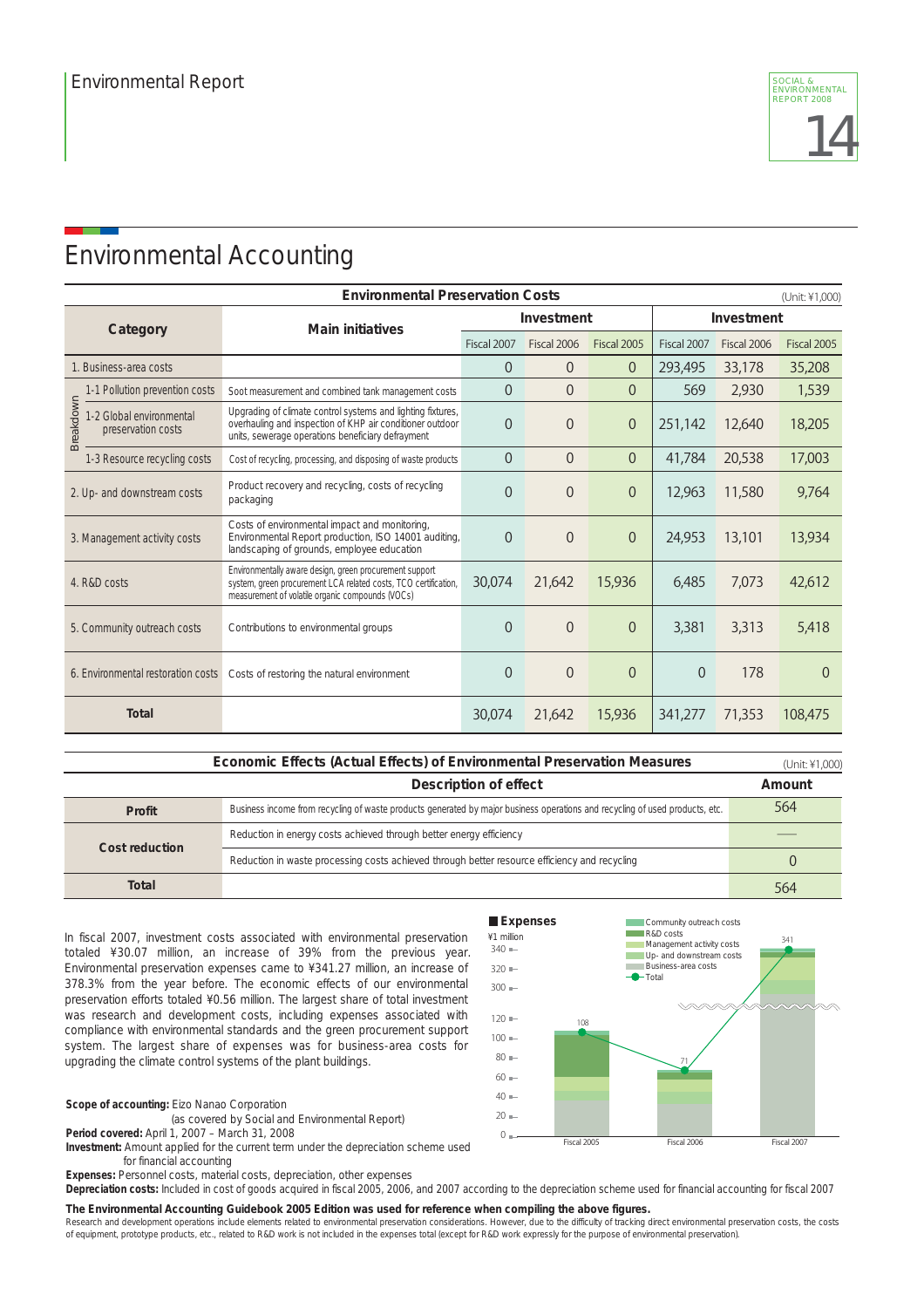# Environmental Accounting

| <b>Environmental Preservation Costs</b><br>(Unit: ¥1,000)   |                                                                                                                                                                                |             |                |                |             |                            |          |
|-------------------------------------------------------------|--------------------------------------------------------------------------------------------------------------------------------------------------------------------------------|-------------|----------------|----------------|-------------|----------------------------|----------|
| Category                                                    | <b>Main initiatives</b>                                                                                                                                                        | Investment  |                |                | Investment  |                            |          |
|                                                             |                                                                                                                                                                                | Fiscal 2007 | Fiscal 2006    | Fiscal 2005    | Fiscal 2007 | Fiscal 2006<br>Fiscal 2005 |          |
| 1. Business-area costs                                      |                                                                                                                                                                                | $\Omega$    | $\overline{0}$ | $\Omega$       | 293,495     | 33,178                     | 35,208   |
| 1-1 Pollution prevention costs                              | Soot measurement and combined tank management costs                                                                                                                            | 0           | $\overline{0}$ | $\overline{0}$ | 569         | 2,930                      | 1,539    |
| Breakdown<br>1-2 Global environmental<br>preservation costs | Upgrading of climate control systems and lighting fixtures,<br>overhauling and inspection of KHP air conditioner outdoor<br>units, sewerage operations beneficiary defrayment  | $\Omega$    | $\overline{0}$ | $\theta$       | 251,142     | 12,640                     | 18,205   |
| 1-3 Resource recycling costs                                | Cost of recycling, processing, and disposing of waste products                                                                                                                 | $\theta$    | $\overline{0}$ | $\theta$       | 41,784      | 20,538                     | 17,003   |
| 2. Up- and downstream costs                                 | Product recovery and recycling, costs of recycling<br>packaging                                                                                                                | $\Omega$    | $\overline{0}$ | $\theta$       | 12,963      | 11,580                     | 9,764    |
| 3. Management activity costs                                | Costs of environmental impact and monitoring,<br>Environmental Report production, ISO 14001 auditing,<br>landscaping of grounds, employee education                            | $\theta$    | $\overline{0}$ | $\theta$       | 24,953      | 13,101                     | 13,934   |
| 4. R&D costs                                                | Environmentally aware design, green procurement support<br>system, green procurement LCA related costs, TCO certification,<br>measurement of volatile organic compounds (VOCs) | 30,074      | 21,642         | 15,936         | 6,485       | 7,073                      | 42,612   |
| 5. Community outreach costs                                 | Contributions to environmental groups                                                                                                                                          | $\theta$    | $\overline{0}$ | $\Omega$       | 3,381       | 3,313                      | 5,418    |
| 6. Environmental restoration costs                          | Costs of restoring the natural environment                                                                                                                                     | $\Omega$    | $\overline{0}$ | $\Omega$       | $\theta$    | 178                        | $\Omega$ |
| <b>Total</b>                                                |                                                                                                                                                                                | 30,074      | 21,642         | 15,936         | 341,277     | 71,353                     | 108,475  |

|                | <b>Economic Effects (Actual Effects) of Environmental Preservation Measures</b>                                              | (Unit: ¥1,000) |
|----------------|------------------------------------------------------------------------------------------------------------------------------|----------------|
|                | Description of effect                                                                                                        | Amount         |
| Profit         | Business income from recycling of waste products generated by major business operations and recycling of used products, etc. | 564            |
|                | Reduction in energy costs achieved through better energy efficiency                                                          |                |
| Cost reduction | Reduction in waste processing costs achieved through better resource efficiency and recycling                                |                |
| Total          |                                                                                                                              | 564            |

In fiscal 2007, investment costs associated with environmental preservation totaled ¥30.07 million, an increase of 39% from the previous year. Environmental preservation expenses came to ¥341.27 million, an increase of 378.3% from the year before. The economic effects of our environmental preservation efforts totaled ¥0.56 million. The largest share of total investment was research and development costs, including expenses associated with compliance with environmental standards and the green procurement support system. The largest share of expenses was for business-area costs for upgrading the climate control systems of the plant buildings.

#### **Scope of accounting:** Eizo Nanao Corporation

(as covered by Social and Environmental Report)

**Period covered:** April 1, 2007 – March 31, 2008

**Investment:** Amount applied for the current term under the depreciation scheme used for financial accounting

**Expenses:** Personnel costs, material costs, depreciation, other expenses

**Depreciation costs:** Included in cost of goods acquired in fiscal 2005, 2006, and 2007 according to the depreciation scheme used for financial accounting for fiscal 2007

#### **The Environmental Accounting Guidebook 2005 Edition was used for reference when compiling the above figures.**

Research and development operations include elements related to environmental preservation considerations. However, due to the difficulty of tracking direct environmental preservation costs, the costs of equipment, prototype products, etc., related to R&D work is not included in the expenses total (except for R&D work expressly for the purpose of environmental preservation).

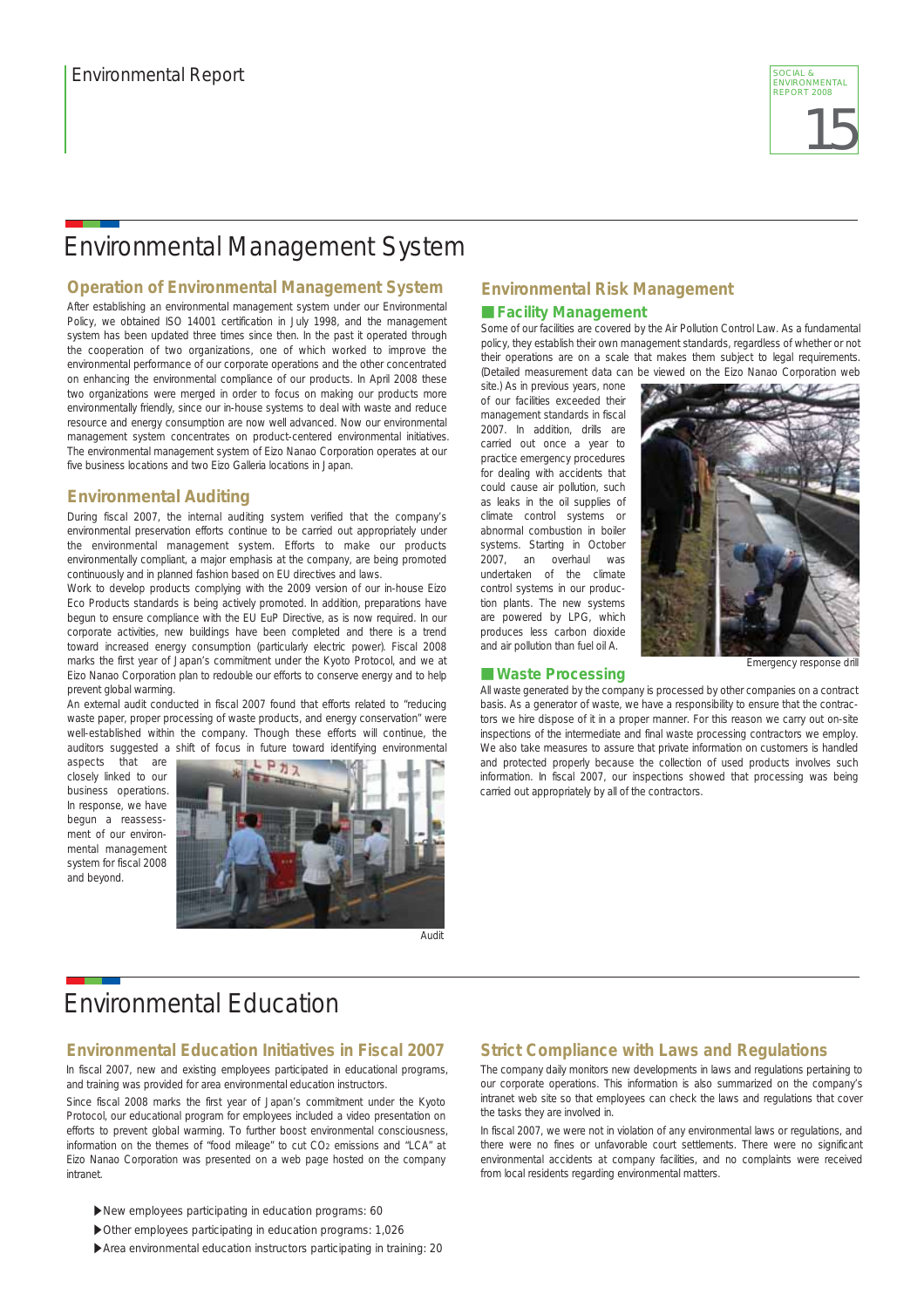

# Environmental Management System

#### **Operation of Environmental Management System**

After establishing an environmental management system under our Environmental Policy, we obtained ISO 14001 certification in July 1998, and the management system has been updated three times since then. In the past it operated through the cooperation of two organizations, one of which worked to improve the environmental performance of our corporate operations and the other concentrated on enhancing the environmental compliance of our products. In April 2008 these two organizations were merged in order to focus on making our products more environmentally friendly, since our in-house systems to deal with waste and reduce resource and energy consumption are now well advanced. Now our environmental management system concentrates on product-centered environmental initiatives. The environmental management system of Eizo Nanao Corporation operates at our five business locations and two Eizo Galleria locations in Japan.

#### **Environmental Auditing**

During fiscal 2007, the internal auditing system verified that the company's environmental preservation efforts continue to be carried out appropriately under the environmental management system. Efforts to make our products environmentally compliant, a major emphasis at the company, are being promoted continuously and in planned fashion based on EU directives and laws.

Work to develop products complying with the 2009 version of our in-house Eizo Eco Products standards is being actively promoted. In addition, preparations have begun to ensure compliance with the EU EuP Directive, as is now required. In our corporate activities, new buildings have been completed and there is a trend toward increased energy consumption (particularly electric power). Fiscal 2008 marks the first year of Japan's commitment under the Kyoto Protocol, and we at Eizo Nanao Corporation plan to redouble our efforts to conserve energy and to help prevent global warming.

An external audit conducted in fiscal 2007 found that efforts related to "reducing waste paper, proper processing of waste products, and energy conservation" were well-established within the company. Though these efforts will continue, the auditors suggested a shift of focus in future toward identifying environmental

aspects that are closely linked to our business operations. In response, we have begun a reassessment of our environmental management system for fiscal 2008 and beyond.



Audit

### **Environmental Risk Management**

#### ■ Facility Management

Some of our facilities are covered by the Air Pollution Control Law. As a fundamental policy, they establish their own management standards, regardless of whether or not their operations are on a scale that makes them subject to legal requirements. (Detailed measurement data can be viewed on the Eizo Nanao Corporation web

site.) As in previous years, none of our facilities exceeded their management standards in fiscal 2007. In addition, drills are carried out once a year to practice emergency procedures for dealing with accidents that could cause air pollution, such as leaks in the oil supplies of climate control systems or abnormal combustion in boiler systems. Starting in October 2007, an overhaul was undertaken of the climate control systems in our production plants. The new systems are powered by LPG, which produces less carbon dioxide and air pollution than fuel oil A.



#### Emergency response drill

#### ■**Waste Processing**

All waste generated by the company is processed by other companies on a contract basis. As a generator of waste, we have a responsibility to ensure that the contractors we hire dispose of it in a proper manner. For this reason we carry out on-site inspections of the intermediate and final waste processing contractors we employ. We also take measures to assure that private information on customers is handled and protected properly because the collection of used products involves such information. In fiscal 2007, our inspections showed that processing was being carried out appropriately by all of the contractors.

### Environmental Education

#### **Environmental Education Initiatives in Fiscal 2007**

In fiscal 2007, new and existing employees participated in educational programs, and training was provided for area environmental education instructors.

Since fiscal 2008 marks the first year of Japan's commitment under the Kyoto Protocol, our educational program for employees included a video presentation on efforts to prevent global warming. To further boost environmental consciousness, information on the themes of "food mileage" to cut CO<sub>2</sub> emissions and "LCA" at Eizo Nanao Corporation was presented on a web page hosted on the company intranet.

- ▶New employees participating in education programs: 60
- ▶ Other employees participating in education programs: 1,026
- ▶ Area environmental education instructors participating in training: 20

#### **Strict Compliance with Laws and Regulations**

The company daily monitors new developments in laws and regulations pertaining to our corporate operations. This information is also summarized on the company's intranet web site so that employees can check the laws and regulations that cover the tasks they are involved in.

In fiscal 2007, we were not in violation of any environmental laws or regulations, and there were no fines or unfavorable court settlements. There were no significant environmental accidents at company facilities, and no complaints were received from local residents regarding environmental matters.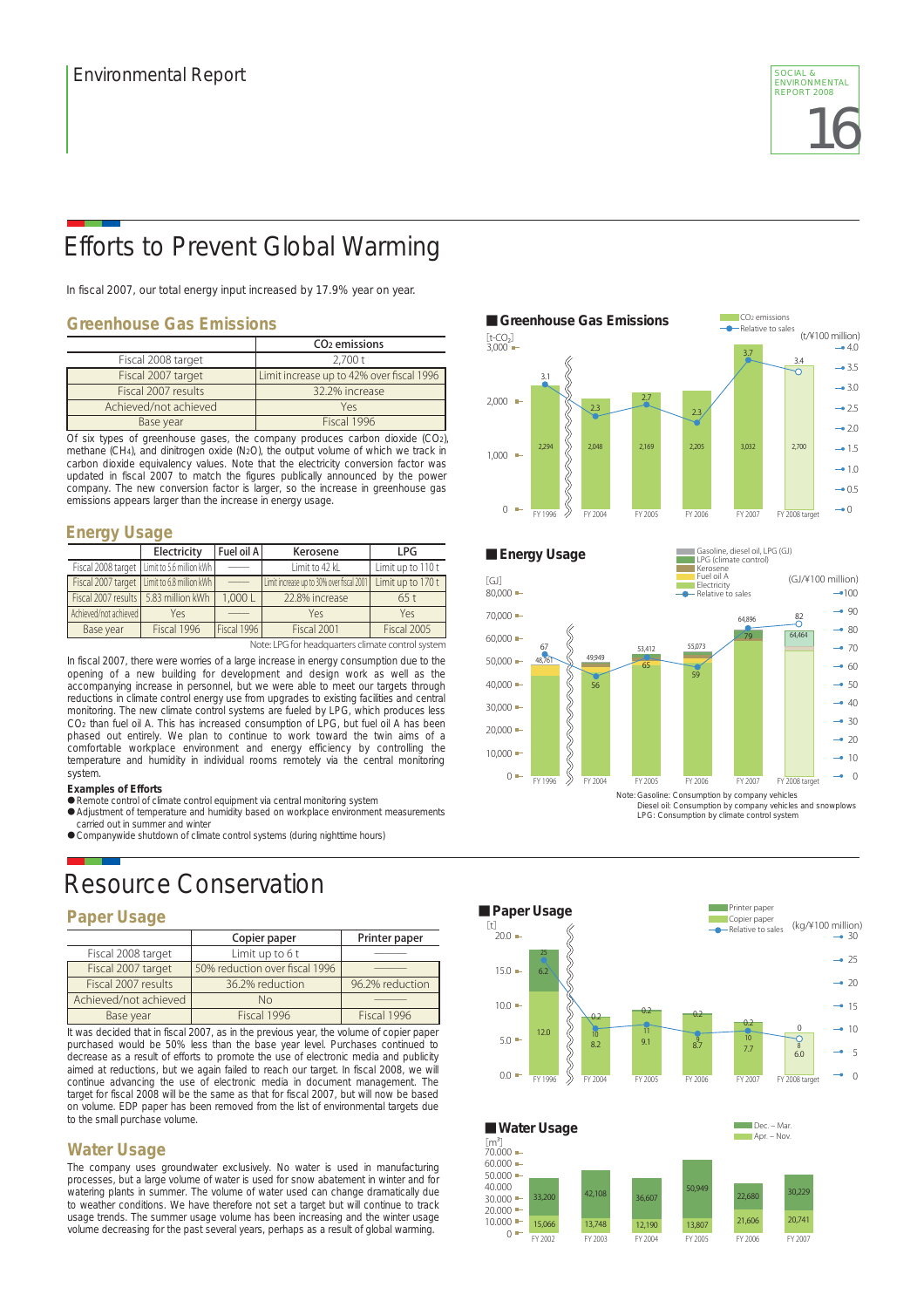

# Efforts to Prevent Global Warming

In fiscal 2007, our total energy input increased by 17.9% year on year.

#### **Greenhouse Gas Emissions**

|                       | CO <sub>2</sub> emissions                 | t-CO3<br>$3.000 -$<br>3.7 |
|-----------------------|-------------------------------------------|---------------------------|
| Fiscal 2008 target    | 2.700 t                                   |                           |
| Fiscal 2007 target    | Limit increase up to 42% over fiscal 1996 |                           |
| Fiscal 2007 results   | 32.2% increase                            |                           |
| Achieved/not achieved | Yes                                       | $2,000$ $-$               |
| Base year             | Fiscal 1996                               |                           |

Of six types of greenhouse gases, the company produces carbon dioxide (CO2), methane (CH4), and dinitrogen oxide (N2O), the output volume of which we track in carbon dioxide equivalency values. Note that the electricity conversion factor was updated in fiscal 2007 to match the figures publically announced by the power company. The new conversion factor is larger, so the increase in greenhouse gas emissions appears larger than the increase in energy usage.

### **Energy Usage**

|                                      | Electricity                                   | Fuel oil A               | Kerosene                                  | LPG               |
|--------------------------------------|-----------------------------------------------|--------------------------|-------------------------------------------|-------------------|
|                                      | Fiscal 2008 target   Limit to 5.6 million kWh | __                       | Limit to 42 kL                            | Limit up to 110 t |
|                                      | Fiscal 2007 target   Limit to 6.8 million kWh | $\overline{\phantom{a}}$ | Limit increase up to 30% over fiscal 2001 | Limit up to 170 t |
| Fiscal 2007 results 5.83 million kWh |                                               | 1,000L                   | 22.8% increase                            | 65t               |
| Achieved/not achieved                | Yes                                           |                          | Yes                                       | Yes               |
| Base year                            | Fiscal 1996                                   | Fiscal 1996              | Fiscal 2001                               | Fiscal 2005       |

Note: LPG for headquarters climate control system

In fiscal 2007, there were worries of a large increase in energy consumption due to the opening of a new building for development and design work as well as the accompanying increase in personnel, but we were able to meet our targets through reductions in climate control energy use from upgrades to existing facilities and central monitoring. The new climate control systems are fueled by LPG, which produces less CO2 than fuel oil A. This has increased consumption of LPG, but fuel oil A has been phased out entirely. We plan to continue to work toward the twin aims of a comfortable workplace environment and energy efficiency by controlling the temperature and humidity in individual rooms remotely via the central monitoring system.

#### **Examples of Efforts**

- Remote control of climate control equipment via central monitoring system
- Adjustment of temperature and humidity based on workplace environment measurements carried out in summer and winter
- Companywide shutdown of climate control systems (during nighttime hours)

# Resource Conservation

#### **Paper Usage**

|                       | Copier paper                   | Printer paper   |
|-----------------------|--------------------------------|-----------------|
| Fiscal 2008 target    | Limit up to $6t$               |                 |
| Fiscal 2007 target    | 50% reduction over fiscal 1996 |                 |
| Fiscal 2007 results   | 36.2% reduction                | 96.2% reduction |
| Achieved/not achieved | No                             |                 |
| Base year             | Fiscal 1996                    | Fiscal 1996     |

It was decided that in fiscal 2007, as in the previous year, the volume of copier paper purchased would be 50% less than the base year level. Purchases continued to decrease as a result of efforts to promote the use of electronic media and publicity aimed at reductions, but we again failed to reach our target. In fiscal 2008, we will continue advancing the use of electronic media in document management. The target for fiscal 2008 will be the same as that for fiscal 2007, but will now be based on volume. EDP paper has been removed from the list of environmental targets due to the small purchase volume.

#### **Water Usage**

The company uses groundwater exclusively. No water is used in manufacturing processes, but a large volume of water is used for snow abatement in winter and for watering plants in summer. The volume of water used can change dramatically due to weather conditions. We have therefore not set a target but will continue to track usage trends. The summer usage volume has been increasing and the winter usage volume decreasing for the past several years, perhaps as a result of global warming.





Diesel oil: Consumption by company vehicles and snowplows LPG: Consumption by climate control system

FY 2006 FY 2007

20,741

21,606



FY 2002 FY 2003 FY 2005 FY 2004

12,190

13,807

15,066 13,748

 $10.000 0 -$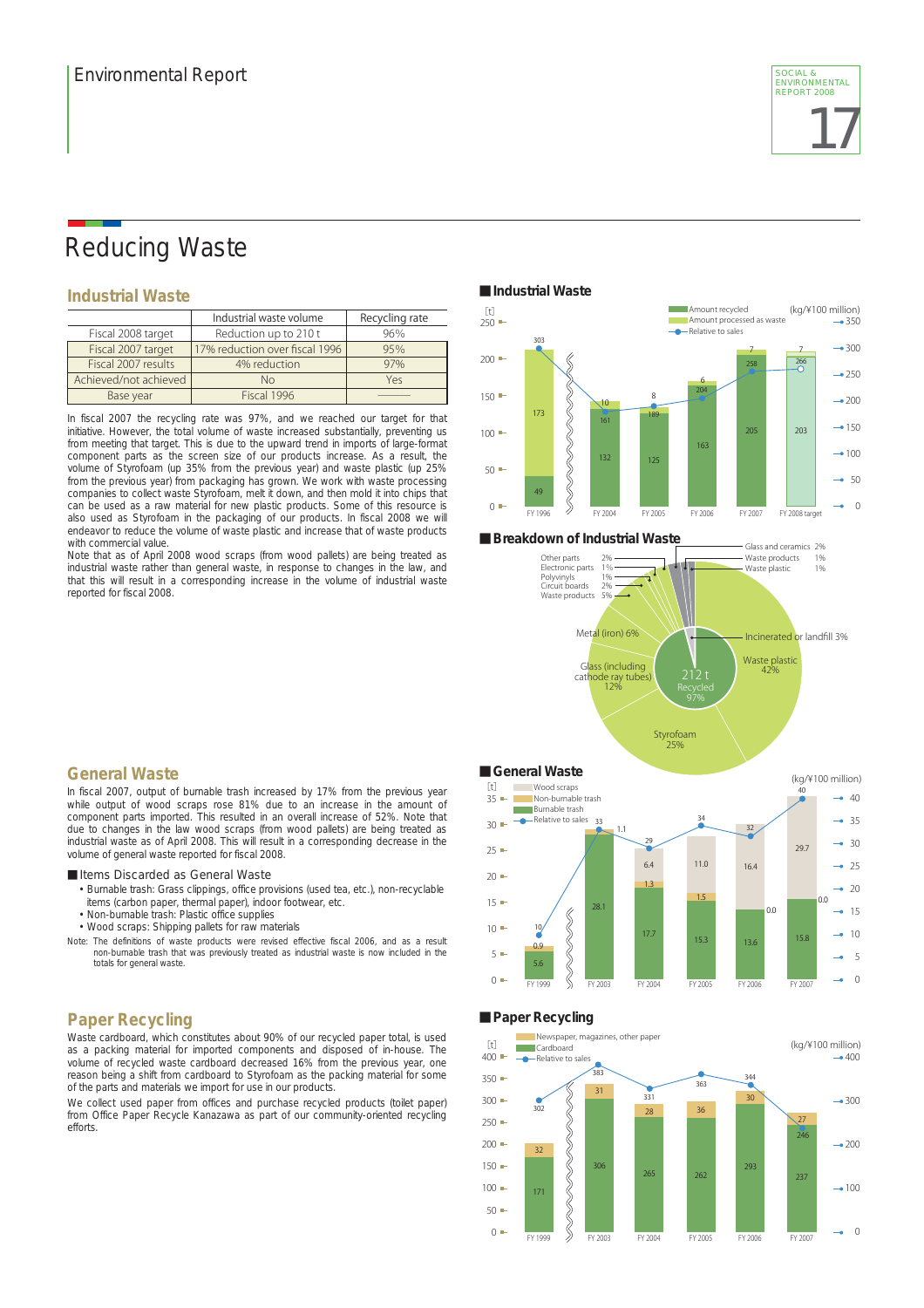

### Reducing Waste

#### **Industrial Waste**

|                       | Industrial waste volume        | Recycling rate |
|-----------------------|--------------------------------|----------------|
| Fiscal 2008 target    | Reduction up to 210 t          | 96%            |
| Fiscal 2007 target    | 17% reduction over fiscal 1996 | 95%            |
| Fiscal 2007 results   | 4% reduction                   | 97%            |
| Achieved/not achieved | No                             | Yes            |
| Base year             | Fiscal 1996                    |                |

In fiscal 2007 the recycling rate was 97%, and we reached our target for that initiative. However, the total volume of waste increased substantially, preventing us from meeting that target. This is due to the upward trend in imports of large-format component parts as the screen size of our products increase. As a result, the volume of Styrofoam (up 35% from the previous year) and waste plastic (up 25% from the previous year) from packaging has grown. We work with waste processing companies to collect waste Styrofoam, melt it down, and then mold it into chips that can be used as a raw material for new plastic products. Some of this resource is also used as Styrofoam in the packaging of our products. In fiscal 2008 we will endeavor to reduce the volume of waste plastic and increase that of waste products with commercial value.

Note that as of April 2008 wood scraps (from wood pallets) are being treated as industrial waste rather than general waste, in response to changes in the law, and that this will result in a corresponding increase in the volume of industrial waste reported for fiscal 2008.







### **General Waste**

In fiscal 2007, output of burnable trash increased by 17% from the previous year while output of wood scraps rose 81% due to an increase in the amount of component parts imported. This resulted in an overall increase of 52%. Note that due to changes in the law wood scraps (from wood pallets) are being treated as industrial waste as of April 2008. This will result in a corresponding decrease in the volume of general waste reported for fiscal 2008.

■ Items Discarded as General Waste

- Burnable trash: Grass clippings, office provisions (used tea, etc.), non-recyclable
- items (carbon paper, thermal paper), indoor footwear, etc.
- Non-burnable trash: Plastic office supplies
- Wood scraps: Shipping pallets for raw materials
- Note: The definitions of waste products were revised effective fiscal 2006, and as a result non-burnable trash that was previously treated as industrial waste is now included in the totals for general waste.

### **Paper Recycling**

Waste cardboard, which constitutes about 90% of our recycled paper total, is used as a packing material for imported components and disposed of in-house. The volume of recycled waste cardboard decreased 16% from the previous year, one reason being a shift from cardboard to Styrofoam as the packing material for some of the parts and materials we import for use in our products.

We collect used paper from offices and purchase recycled products (toilet paper) from Office Paper Recycle Kanazawa as part of our community-oriented recycling efforts.

#### ■**General Waste** (kg/¥100 million)  $[f]$ Wood scraps 40 Non-burnable trash  $• 40$  $35 =$ **Burnable trash** Relative to sales  $• 35$  $30 -$ 33 34 32 1.1  $-30$ 29 29.7  $25 -$ 11.0 6.4 16.4  $-0.25$  $20 -$ 1.3 20  $15 -$ 1.5 0.0 28.1  $0.\overline{0}$ 15 RRRAR  $10 -$ 10 17.7 10 15.8 15.3 13.6 0.9 5 5 5.6  $0 \Omega$ FY 2006 FY 1999 FY 2003 FY 2004 FY 2005 FY 2007

■**Paper Recycling**

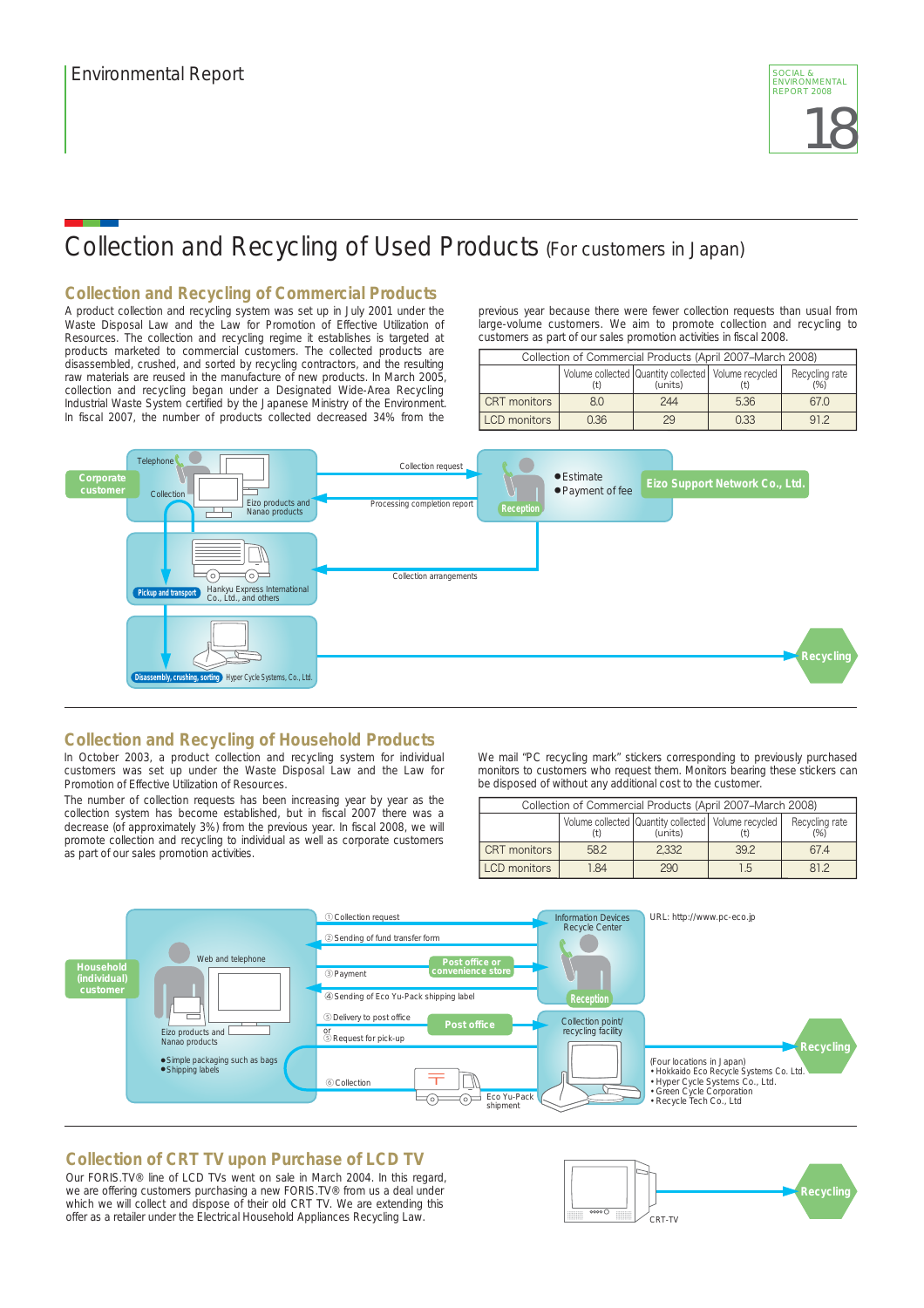

# Collection and Recycling of Used Products (For customers in Japan)

#### **Collection and Recycling of Commercial Products**

A product collection and recycling system was set up in July 2001 under the Waste Disposal Law and the Law for Promotion of Effective Utilization of Resources. The collection and recycling regime it establishes is targeted at products marketed to commercial customers. The collected products are disassembled, crushed, and sorted by recycling contractors, and the resulting raw materials are reused in the manufacture of new products. In March 2005, collection and recycling began under a Designated Wide-Area Recycling Industrial Waste System certified by the Japanese Ministry of the Environment. In fiscal 2007, the number of products collected decreased 34% from the

previous year because there were fewer collection requests than usual from large-volume customers. We aim to promote collection and recycling to customers as part of our sales promotion activities in fiscal 2008.

| Collection of Commercial Products (April 2007–March 2008) |      |                                                                    |      |                       |
|-----------------------------------------------------------|------|--------------------------------------------------------------------|------|-----------------------|
|                                                           |      | Volume collected Quantity collected   Volume recycled  <br>(units) |      | Recycling rate<br>(%) |
| CRT monitors                                              | 80   | 244                                                                | 5.36 | 670                   |
| LCD monitors                                              | 0.36 | 29                                                                 | 0.33 | Q12                   |



### **Collection and Recycling of Household Products**

In October 2003, a product collection and recycling system for individual customers was set up under the Waste Disposal Law and the Law for Promotion of Effective Utilization of Resources.

The number of collection requests has been increasing year by year as the collection system has become established, but in fiscal 2007 there was a decrease (of approximately 3%) from the previous year. In fiscal 2008, we will promote collection and recycling to individual as well as corporate customers as part of our sales promotion activities.

We mail "PC recycling mark" stickers corresponding to previously purchased monitors to customers who request them. Monitors bearing these stickers can be disposed of without any additional cost to the customer.

| Collection of Commercial Products (April 2007-March 2008)                                   |      |       |     |     |
|---------------------------------------------------------------------------------------------|------|-------|-----|-----|
| Volume collected Quantity collected   Volume recycled  <br>Recycling rate<br>(units)<br>(%) |      |       |     |     |
| <b>CRT</b> monitors                                                                         | 58.2 | 2.332 | 392 | 674 |
| <b>LCD</b> monitors                                                                         | 184  | 290   | 1 5 | 812 |



### **Collection of CRT TV upon Purchase of LCD TV**

Our FORIS.TV® line of LCD TVs went on sale in March 2004. In this regard, we are offering customers purchasing a new FORIS.TV® from us a deal under which we will collect and dispose of their old CRT TV. We are extending this offer as a retailer under the Electrical Household Appliances Recycling Law.

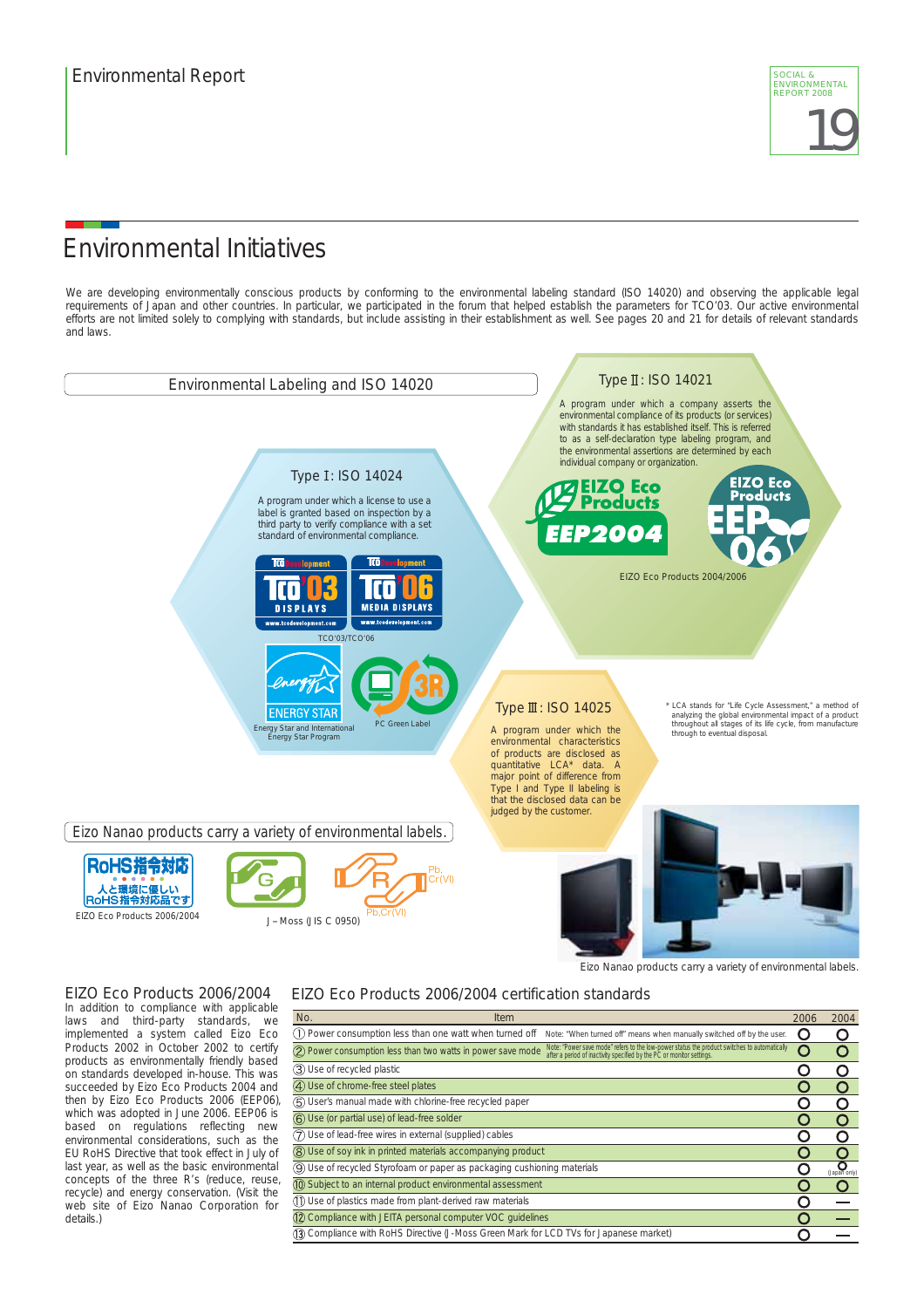

### Environmental Initiatives

We are developing environmentally conscious products by conforming to the environmental labeling standard (ISO 14020) and observing the applicable legal requirements of Japan and other countries. In particular, we participated in the forum that helped establish the parameters for TCO'03. Our active environmental efforts are not limited solely to complying with standards, but include assisting in their establishment as well. See pages 20 and 21 for details of relevant standards and laws.



implemented a system called Eizo Eco Products 2002 in October 2002 to certify products as environmentally friendly based on standards developed in-house. This was succeeded by Eizo Eco Products 2004 and then by Eizo Eco Products 2006 (EEP06), which was adopted in June 2006. EEP06 is based on regulations reflecting new environmental considerations, such as the EU RoHS Directive that took effect in July of last year, as well as the basic environmental concepts of the three R's (reduce, reuse, recycle) and energy conservation. (Visit the web site of Eizo Nanao Corporation for details.)

| No.<br><b>Item</b>                                                                                                                                                                                                                    | 2006 | 2004                  |
|---------------------------------------------------------------------------------------------------------------------------------------------------------------------------------------------------------------------------------------|------|-----------------------|
| (1) Power consumption less than one watt when turned off<br>Note: "When turned off" means when manually switched off by the user.                                                                                                     |      |                       |
| Note: "Power save mode" refers to the low-power status the product switches to automatically<br>(2) Power consumption less than two watts in power save mode<br>after a period of inactivity specified by the PC or monitor settings. |      |                       |
| 3) Use of recycled plastic                                                                                                                                                                                                            |      |                       |
| 4) Use of chrome-free steel plates                                                                                                                                                                                                    |      |                       |
| 5) User's manual made with chlorine-free recycled paper                                                                                                                                                                               |      |                       |
| 6) Use (or partial use) of lead-free solder                                                                                                                                                                                           |      |                       |
| (7) Use of lead-free wires in external (supplied) cables                                                                                                                                                                              |      |                       |
| (8) Use of soy ink in printed materials accompanying product                                                                                                                                                                          |      |                       |
| 9) Use of recycled Styrofoam or paper as packaging cushioning materials                                                                                                                                                               |      | $\sum_{(Japan only)}$ |
| 10 Subject to an internal product environmental assessment                                                                                                                                                                            |      |                       |
| (1) Use of plastics made from plant-derived raw materials                                                                                                                                                                             |      |                       |
| 12 Compliance with JEITA personal computer VOC guidelines                                                                                                                                                                             |      |                       |
| (3) Compliance with RoHS Directive (J-Moss Green Mark for LCD TVs for Japanese market)                                                                                                                                                |      |                       |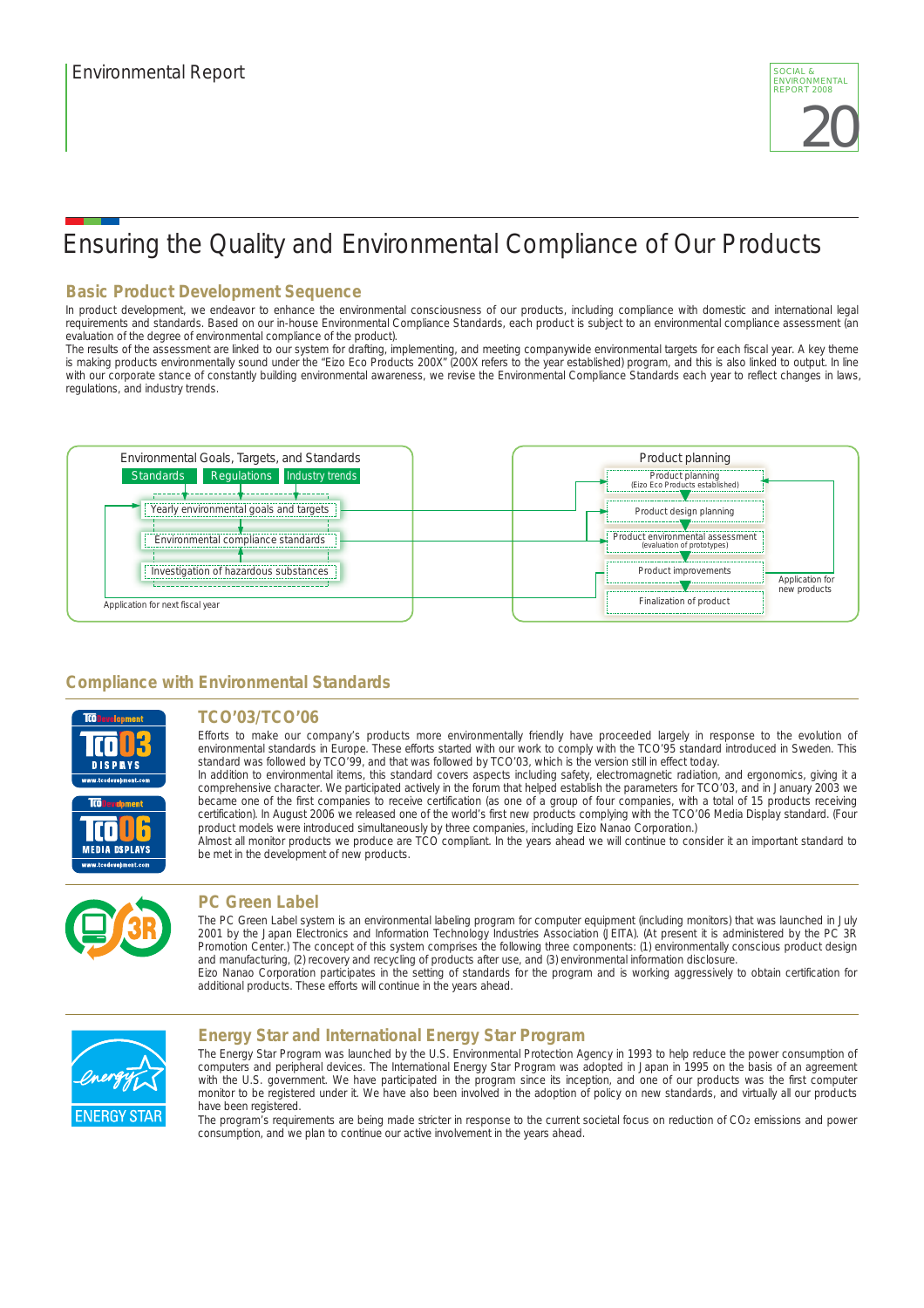# Ensuring the Quality and Environmental Compliance of Our Products

### **Basic Product Development Sequence**

In product development, we endeavor to enhance the environmental consciousness of our products, including compliance with domestic and international legal requirements and standards. Based on our in-house Environmental Compliance Standards, each product is subject to an environmental compliance assessment (an evaluation of the degree of environmental compliance of the product).

The results of the assessment are linked to our system for drafting, implementing, and meeting companywide environmental targets for each fiscal year. A key theme is making products environmentally sound under the "Eizo Eco Products 200X" (200X refers to the year established) program, and this is also linked to output. In line with our corporate stance of constantly building environmental awareness, we revise the Environmental Compliance Standards each year to reflect changes in laws, regulations, and industry trends.



### **Compliance with Environmental Standards**



### **TCO'03/TCO'06**

Efforts to make our company's products more environmentally friendly have proceeded largely in response to the evolution of environmental standards in Europe. These efforts started with our work to comply with the TCO'95 standard introduced in Sweden. This standard was followed by TCO'99, and that was followed by TCO'03, which is the version still in effect today.

In addition to environmental items, this standard covers aspects including safety, electromagnetic radiation, and ergonomics, giving it a comprehensive character. We participated actively in the forum that helped establish the parameters for TCO'03, and in January 2003 we became one of the first companies to receive certification (as one of a group of four companies, with a total of 15 products receiving certification). In August 2006 we released one of the world's first new products complying with the TCO'06 Media Display standard. (Four product models were introduced simultaneously by three companies, including Eizo Nanao Corporation.)

Almost all monitor products we produce are TCO compliant. In the years ahead we will continue to consider it an important standard to be met in the development of new products.



#### **PC Green Label**

The PC Green Label system is an environmental labeling program for computer equipment (including monitors) that was launched in July 2001 by the Japan Electronics and Information Technology Industries Association (JEITA). (At present it is administered by the PC 3R Promotion Center.) The concept of this system comprises the following three components: (1) environmentally conscious product design and manufacturing, (2) recovery and recycling of products after use, and (3) environmental information disclosure.

Eizo Nanao Corporation participates in the setting of standards for the program and is working aggressively to obtain certification for additional products. These efforts will continue in the years ahead.



#### **Energy Star and International Energy Star Program**

The Energy Star Program was launched by the U.S. Environmental Protection Agency in 1993 to help reduce the power consumption of computers and peripheral devices. The International Energy Star Program was adopted in Japan in 1995 on the basis of an agreement with the U.S. government. We have participated in the program since its inception, and one of our products was the first computer monitor to be registered under it. We have also been involved in the adoption of policy on new standards, and virtually all our products have been registered.

The program's requirements are being made stricter in response to the current societal focus on reduction of CO2 emissions and power consumption, and we plan to continue our active involvement in the years ahead.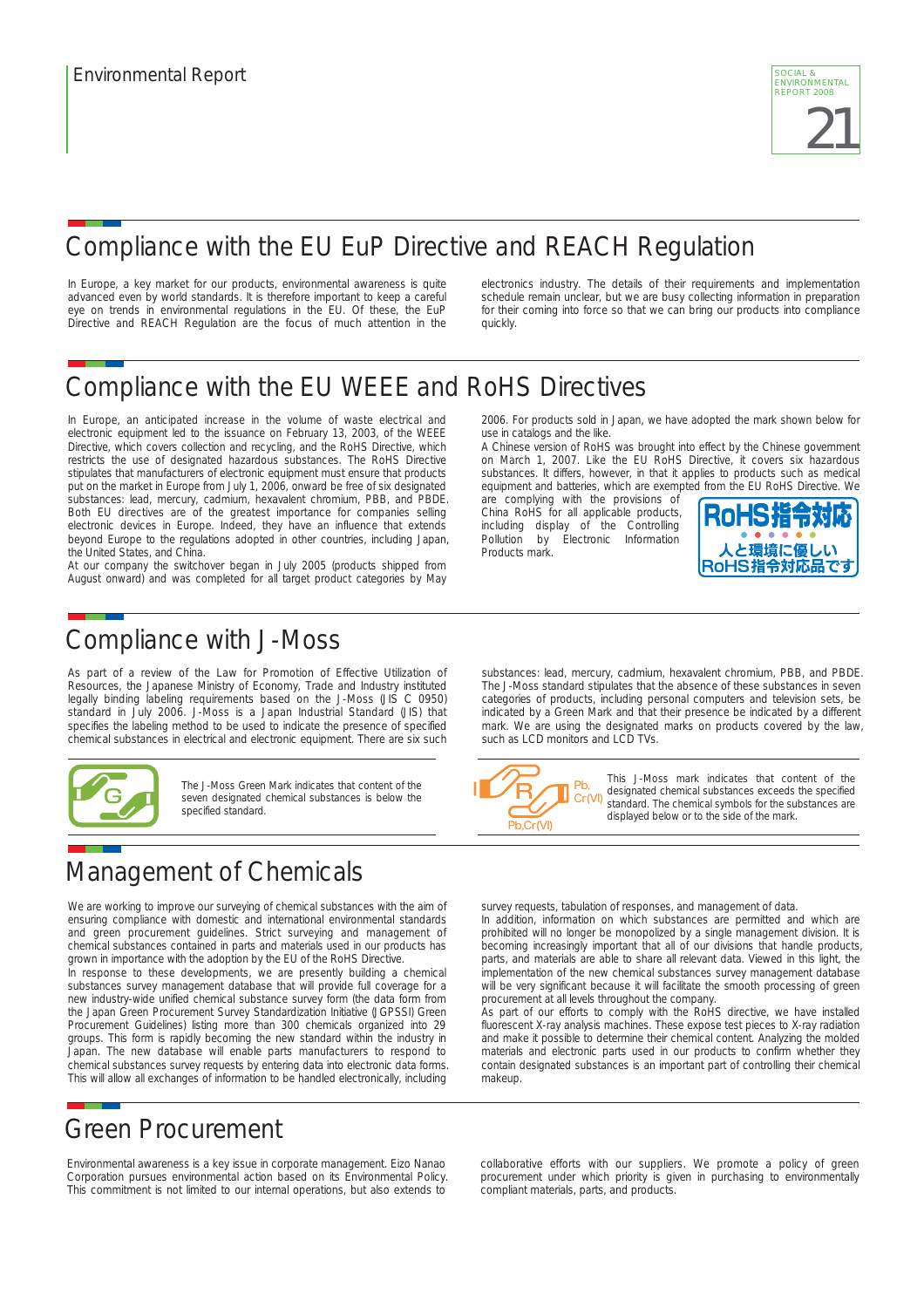

# Compliance with the EU EuP Directive and REACH Regulation

In Europe, a key market for our products, environmental awareness is quite advanced even by world standards. It is therefore important to keep a careful eye on trends in environmental regulations in the EU. Of these, the EuP Directive and REACH Regulation are the focus of much attention in the electronics industry. The details of their requirements and implementation schedule remain unclear, but we are busy collecting information in preparation for their coming into force so that we can bring our products into compliance quickly.

# Compliance with the EU WEEE and RoHS Directives

In Europe, an anticipated increase in the volume of waste electrical and electronic equipment led to the issuance on February 13, 2003, of the WEEE Directive, which covers collection and recycling, and the RoHS Directive, which restricts the use of designated hazardous substances. The RoHS Directive stipulates that manufacturers of electronic equipment must ensure that products put on the market in Europe from July 1, 2006, onward be free of six designated substances: lead, mercury, cadmium, hexavalent chromium, PBB, and PBDE. Both EU directives are of the greatest importance for companies selling electronic devices in Europe. Indeed, they have an influence that extends beyond Europe to the regulations adopted in other countries, including Japan, the United States, and China.

At our company the switchover began in July 2005 (products shipped from August onward) and was completed for all target product categories by May

### Compliance with J-Moss

As part of a review of the Law for Promotion of Effective Utilization of Resources, the Japanese Ministry of Economy, Trade and Industry instituted legally binding labeling requirements based on the J-Moss (JIS C 0950) standard in July 2006. J-Moss is a Japan Industrial Standard (JIS) that specifies the labeling method to be used to indicate the presence of specified chemical substances in electrical and electronic equipment. There are six such



The J-Moss Green Mark indicates that content of the seven designated chemical substances is below the specified standard.

# Management of Chemicals

We are working to improve our surveying of chemical substances with the aim of ensuring compliance with domestic and international environmental standards and green procurement guidelines. Strict surveying and management of chemical substances contained in parts and materials used in our products has grown in importance with the adoption by the EU of the RoHS Directive.

In response to these developments, we are presently building a chemical substances survey management database that will provide full coverage for a new industry-wide unified chemical substance survey form (the data form from the Japan Green Procurement Survey Standardization Initiative (JGPSSI) Green Procurement Guidelines) listing more than 300 chemicals organized into 29 groups. This form is rapidly becoming the new standard within the industry in Japan. The new database will enable parts manufacturers to respond to chemical substances survey requests by entering data into electronic data forms. This will allow all exchanges of information to be handled electronically, including

### Green Procurement

Environmental awareness is a key issue in corporate management. Eizo Nanao Corporation pursues environmental action based on its Environmental Policy. This commitment is not limited to our internal operations, but also extends to 2006. For products sold in Japan, we have adopted the mark shown below for use in catalogs and the like.

A Chinese version of RoHS was brought into effect by the Chinese government on March 1, 2007. Like the EU RoHS Directive, it covers six hazardous substances. It differs, however, in that it applies to products such as medical equipment and batteries, which are exempted from the EU RoHS Directive. We

are complying with the provisions of China RoHS for all applicable products, including display of the Controlling<br>Pollution by Electronic Information Flectronic Information Products mark.



substances: lead, mercury, cadmium, hexavalent chromium, PBB, and PBDE. The J-Moss standard stipulates that the absence of these substances in seven categories of products, including personal computers and television sets, be indicated by a Green Mark and that their presence be indicated by a different mark. We are using the designated marks on products covered by the law, such as LCD monitors and LCD TVs.



This J-Moss mark indicates that content of the designated chemical substances exceeds the specified standard. The chemical symbols for the substances are displayed below or to the side of the mark.

survey requests, tabulation of responses, and management of data.

In addition, information on which substances are permitted and which are prohibited will no longer be monopolized by a single management division. It is becoming increasingly important that all of our divisions that handle products, parts, and materials are able to share all relevant data. Viewed in this light, the implementation of the new chemical substances survey management database will be very significant because it will facilitate the smooth processing of green procurement at all levels throughout the company.

As part of our efforts to comply with the RoHS directive, we have installed fluorescent X-ray analysis machines. These expose test pieces to X-ray radiation and make it possible to determine their chemical content. Analyzing the molded materials and electronic parts used in our products to confirm whether they contain designated substances is an important part of controlling their chemical makeup.

collaborative efforts with our suppliers. We promote a policy of green procurement under which priority is given in purchasing to environmentally compliant materials, parts, and products.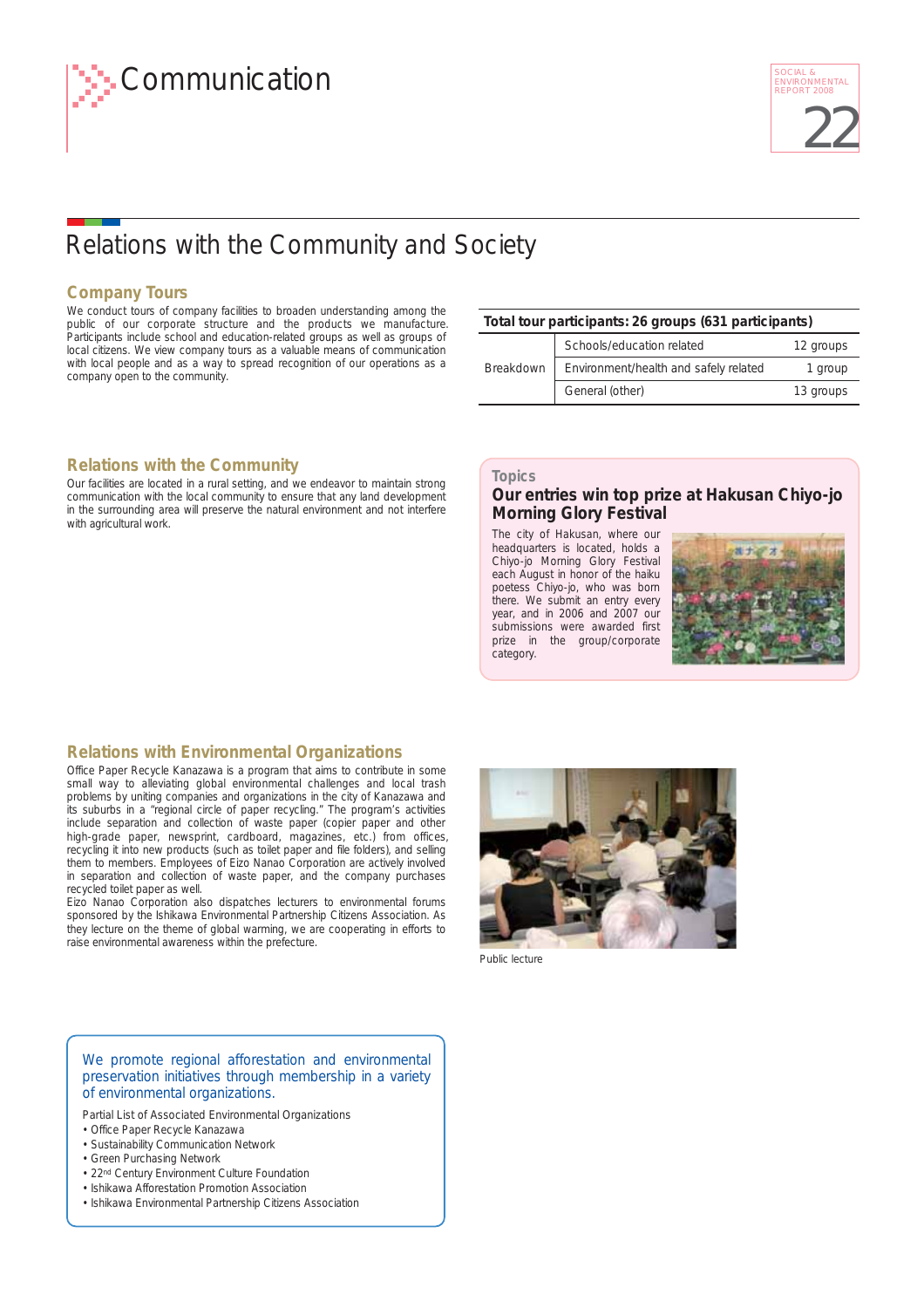# Relations with the Community and Society

#### **Company Tours**

We conduct tours of company facilities to broaden understanding among the public of our corporate structure and the products we manufacture. Participants include school and education-related groups as well as groups of local citizens. We view company tours as a valuable means of communication with local people and as a way to spread recognition of our operations as a company open to the community.

#### **Relations with the Community**

Our facilities are located in a rural setting, and we endeavor to maintain strong communication with the local community to ensure that any land development in the surrounding area will preserve the natural environment and not interfere with agricultural work.

#### **Total tour participants: 26 groups (631 participants)**

|           | Schools/education related             | 12 groups |
|-----------|---------------------------------------|-----------|
| Breakdown | Environment/health and safely related | 1 group   |
|           | General (other)                       | 13 groups |

#### **Topics**

#### **Our entries win top prize at Hakusan Chiyo-jo Morning Glory Festival**

The city of Hakusan, where our headquarters is located, holds a Chiyo-jo Morning Glory Festival each August in honor of the haiku poetess Chiyo-jo, who was born there. We submit an entry every year, and in 2006 and 2007 our submissions were awarded first prize in the group/corporate category.



#### **Relations with Environmental Organizations**

Office Paper Recycle Kanazawa is a program that aims to contribute in some small way to alleviating global environmental challenges and local trash problems by uniting companies and organizations in the city of Kanazawa and its suburbs in a "regional circle of paper recycling." The program's activities include separation and collection of waste paper (copier paper and other high-grade paper, newsprint, cardboard, magazines, etc.) from offices, recycling it into new products (such as toilet paper and file folders), and selling them to members. Employees of Eizo Nanao Corporation are actively involved in separation and collection of waste paper, and the company purchases recycled toilet paper as well.

Eizo Nanao Corporation also dispatches lecturers to environmental forums sponsored by the Ishikawa Environmental Partnership Citizens Association. As they lecture on the theme of global warming, we are cooperating in efforts to raise environmental awareness within the prefecture.



Public lecture

#### We promote regional afforestation and environmental preservation initiatives through membership in a variety of environmental organizations.

Partial List of Associated Environmental Organizations

- Office Paper Recycle Kanazawa
- Sustainability Communication Network
- Green Purchasing Network
- 22<sup>nd</sup> Century Environment Culture Foundation
- Ishikawa Afforestation Promotion Association
- Ishikawa Environmental Partnership Citizens Association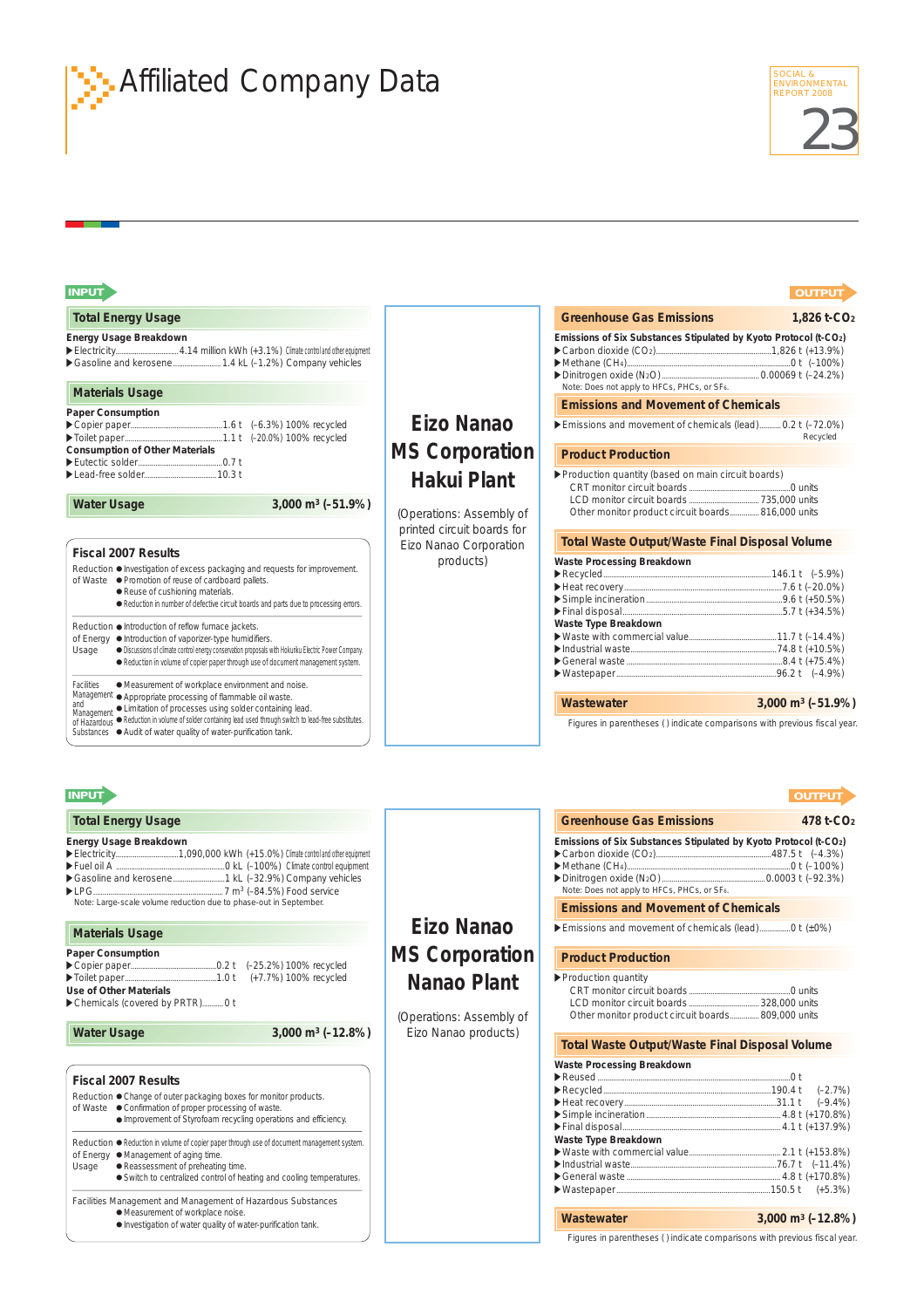

# **ENVIRONMENTAR Affiliated Company Data**

| <b>INPUT</b>                                                                                                                                                                                                                                        |                                                      |                                                                                                                 | <b>OUTPUT</b>                     |
|-----------------------------------------------------------------------------------------------------------------------------------------------------------------------------------------------------------------------------------------------------|------------------------------------------------------|-----------------------------------------------------------------------------------------------------------------|-----------------------------------|
| <b>Total Energy Usage</b>                                                                                                                                                                                                                           |                                                      | <b>Greenhouse Gas Emissions</b>                                                                                 | $1,826$ t-CO <sub>2</sub>         |
| Energy Usage Breakdown<br>Gasoline and kerosene 1.4 kL (-1.2%) Company vehicles                                                                                                                                                                     |                                                      | Emissions of Six Substances Stipulated by Kyoto Protocol (t-CO2)                                                |                                   |
| <b>Materials Usage</b>                                                                                                                                                                                                                              |                                                      | Note: Does not apply to HFCs, PHCs, or SF6.                                                                     |                                   |
| Paper Consumption                                                                                                                                                                                                                                   | Eizo Nanao                                           | <b>Emissions and Movement of Chemicals</b><br>Emissions and movement of chemicals (lead) 0.2 t (-72.0%)         |                                   |
|                                                                                                                                                                                                                                                     |                                                      |                                                                                                                 | Recycled                          |
| <b>Consumption of Other Materials</b>                                                                                                                                                                                                               | <b>MS Corporation</b>                                | <b>Product Production</b>                                                                                       |                                   |
|                                                                                                                                                                                                                                                     | Hakui Plant                                          | ▶ Production quantity (based on main circuit boards)                                                            |                                   |
| 3,000 m <sup>3</sup> (-51.9%)<br><b>Water Usage</b>                                                                                                                                                                                                 | (Operations: Assembly of                             | Other monitor product circuit boards 816,000 units                                                              |                                   |
|                                                                                                                                                                                                                                                     | printed circuit boards for<br>Eizo Nanao Corporation | <b>Total Waste Output/Waste Final Disposal Volume</b>                                                           |                                   |
| <b>Fiscal 2007 Results</b><br>Reduction ● Investigation of excess packaging and requests for improvement.                                                                                                                                           | products)                                            | Waste Processing Breakdown                                                                                      |                                   |
| of Waste · Promotion of reuse of cardboard pallets.                                                                                                                                                                                                 |                                                      |                                                                                                                 |                                   |
| · Reuse of cushioning materials.<br>· Reduction in number of defective circuit boards and parts due to processing errors.                                                                                                                           |                                                      |                                                                                                                 |                                   |
|                                                                                                                                                                                                                                                     |                                                      | Waste Type Breakdown                                                                                            |                                   |
| Reduction . Introduction of reflow furnace jackets.<br>of Energy . Introduction of vaporizer-type humidifiers.                                                                                                                                      |                                                      |                                                                                                                 |                                   |
| · Discussions of climate control energy conservation proposals with Hokuriku Electric Power Company.<br>Usage                                                                                                                                       |                                                      |                                                                                                                 |                                   |
| Reduction in volume of copier paper through use of document management system.                                                                                                                                                                      |                                                      |                                                                                                                 |                                   |
| · Measurement of workplace environment and noise.<br>Facilities<br>Management · Appropriate processing of flammable oil waste.                                                                                                                      |                                                      | Wastewater                                                                                                      | 3,000 m <sup>3</sup> ( $-51.9%$ ) |
|                                                                                                                                                                                                                                                     |                                                      |                                                                                                                 |                                   |
| Management • Limitation of processes using solder containing lead.<br>of Hazardous • Reduction in volume of solder containing lead used through switch to lead-free substitutes.<br>Substances ● Audit of water quality of water-purification tank. |                                                      | Figures in parentheses () indicate comparisons with previous fiscal year.                                       |                                   |
|                                                                                                                                                                                                                                                     |                                                      |                                                                                                                 | <b>OUTPUT</b>                     |
| <b>Total Energy Usage</b>                                                                                                                                                                                                                           |                                                      | <b>Greenhouse Gas Emissions</b>                                                                                 | 478 t-CO <sub>2</sub>             |
|                                                                                                                                                                                                                                                     |                                                      | Emissions of Six Substances Stipulated by Kyoto Protocol (t-CO2)<br>Note: Does not apply to HFCs, PHCs, or SF6. |                                   |
| Note: Large-scale volume reduction due to phase-out in September.                                                                                                                                                                                   |                                                      | <b>Emissions and Movement of Chemicals</b>                                                                      |                                   |
| <b>Materials Usage</b>                                                                                                                                                                                                                              | Eizo Nanao                                           |                                                                                                                 |                                   |
|                                                                                                                                                                                                                                                     | <b>MS Corporation</b>                                | <b>Product Production</b>                                                                                       |                                   |
|                                                                                                                                                                                                                                                     |                                                      | ▶ Production quantity                                                                                           |                                   |
| <b>INPUT</b><br>Energy Usage Breakdown<br>Paper Consumption<br>Use of Other Materials<br>Chemicals (covered by PRTR) 0 t                                                                                                                            | Nanao Plant                                          |                                                                                                                 |                                   |
|                                                                                                                                                                                                                                                     | (Operations: Assembly of                             | Other monitor product circuit boards 809,000 units                                                              |                                   |
| 3,000 m <sup>3</sup> ( $-12.8\%$ )<br><b>Water Usage</b>                                                                                                                                                                                            | Eizo Nanao products)                                 | <b>Total Waste Output/Waste Final Disposal Volume</b>                                                           |                                   |
|                                                                                                                                                                                                                                                     |                                                      | Waste Processing Breakdown                                                                                      |                                   |
| <b>Fiscal 2007 Results</b>                                                                                                                                                                                                                          |                                                      |                                                                                                                 |                                   |
| Reduction ● Change of outer packaging boxes for monitor products.<br>of Waste ● Confirmation of proper processing of waste.<br>· Improvement of Styrofoam recycling operations and efficiency.                                                      |                                                      |                                                                                                                 |                                   |
|                                                                                                                                                                                                                                                     |                                                      | Waste Type Breakdown                                                                                            |                                   |
| Reduction . Reduction in volume of copier paper through use of document management system.<br>of Energy . Management of aging time.                                                                                                                 |                                                      |                                                                                                                 |                                   |
| · Reassessment of preheating time.<br>Usage                                                                                                                                                                                                         |                                                      |                                                                                                                 |                                   |
| • Switch to centralized control of heating and cooling temperatures.                                                                                                                                                                                |                                                      |                                                                                                                 |                                   |
| Facilities Management and Management of Hazardous Substances<br>· Measurement of workplace noise.                                                                                                                                                   |                                                      |                                                                                                                 |                                   |
| . Investigation of water quality of water-purification tank.                                                                                                                                                                                        |                                                      | Wastewater<br>Figures in parentheses () indicate comparisons with previous fiscal year.                         | $3,000 \text{ m}^3 (-12.8\%)$     |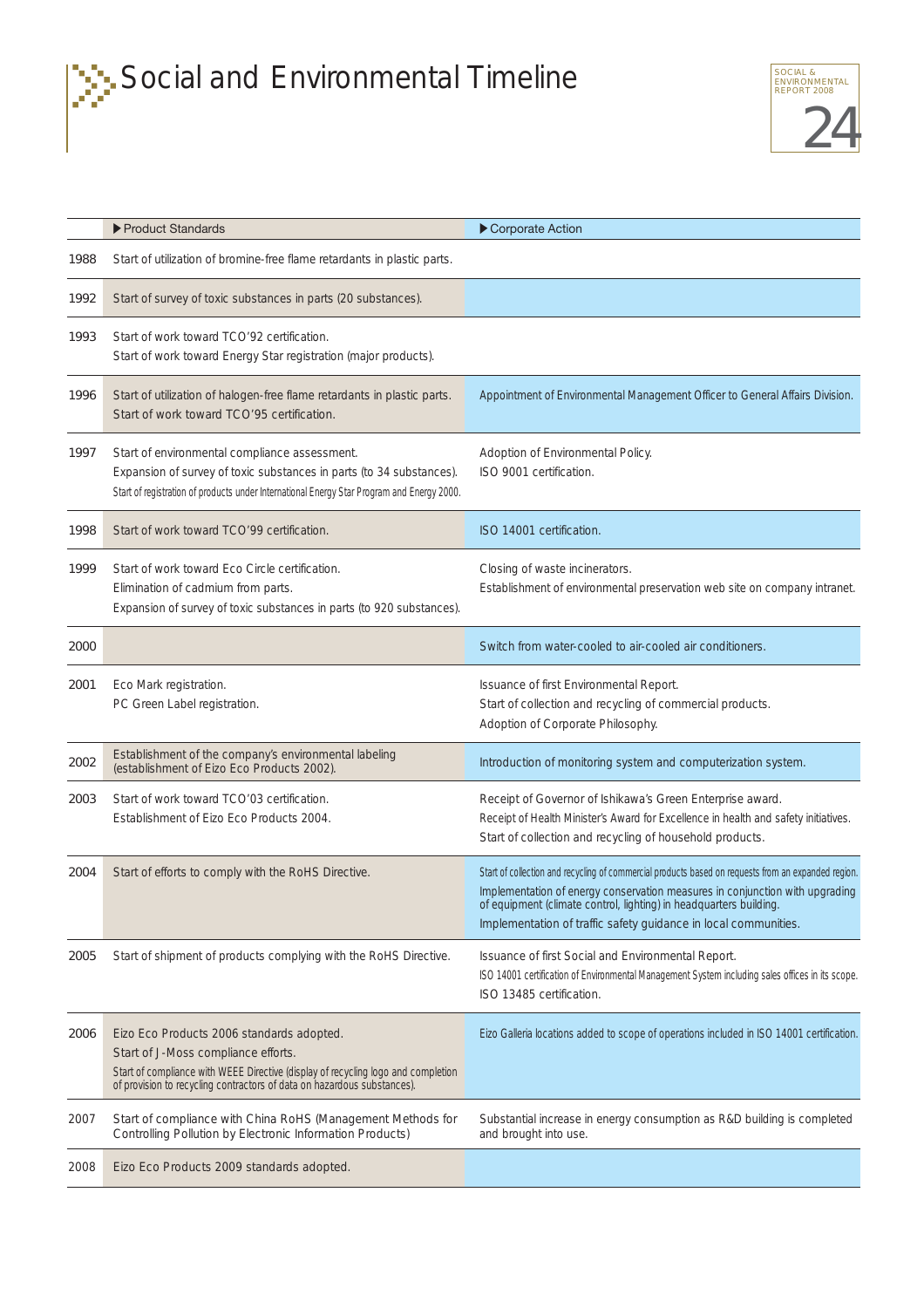



|      | ▶ Product Standards                                                                                                                                                                                                                              | Corporate Action                                                                                                                                                                                                                                                                                                             |
|------|--------------------------------------------------------------------------------------------------------------------------------------------------------------------------------------------------------------------------------------------------|------------------------------------------------------------------------------------------------------------------------------------------------------------------------------------------------------------------------------------------------------------------------------------------------------------------------------|
| 1988 | Start of utilization of bromine-free flame retardants in plastic parts.                                                                                                                                                                          |                                                                                                                                                                                                                                                                                                                              |
| 1992 | Start of survey of toxic substances in parts (20 substances).                                                                                                                                                                                    |                                                                                                                                                                                                                                                                                                                              |
| 1993 | Start of work toward TCO'92 certification.<br>Start of work toward Energy Star registration (major products).                                                                                                                                    |                                                                                                                                                                                                                                                                                                                              |
| 1996 | Start of utilization of halogen-free flame retardants in plastic parts.<br>Start of work toward TCO'95 certification.                                                                                                                            | Appointment of Environmental Management Officer to General Affairs Division.                                                                                                                                                                                                                                                 |
| 1997 | Start of environmental compliance assessment.<br>Expansion of survey of toxic substances in parts (to 34 substances).<br>Start of registration of products under International Energy Star Program and Energy 2000.                              | Adoption of Environmental Policy.<br>ISO 9001 certification.                                                                                                                                                                                                                                                                 |
| 1998 | Start of work toward TCO'99 certification.                                                                                                                                                                                                       | ISO 14001 certification.                                                                                                                                                                                                                                                                                                     |
| 1999 | Start of work toward Eco Circle certification.<br>Elimination of cadmium from parts.<br>Expansion of survey of toxic substances in parts (to 920 substances).                                                                                    | Closing of waste incinerators.<br>Establishment of environmental preservation web site on company intranet.                                                                                                                                                                                                                  |
| 2000 |                                                                                                                                                                                                                                                  | Switch from water-cooled to air-cooled air conditioners.                                                                                                                                                                                                                                                                     |
| 2001 | Eco Mark registration.<br>PC Green Label registration.                                                                                                                                                                                           | Issuance of first Environmental Report.<br>Start of collection and recycling of commercial products.<br>Adoption of Corporate Philosophy.                                                                                                                                                                                    |
| 2002 | Establishment of the company's environmental labeling<br>(establishment of Eizo Eco Products 2002).                                                                                                                                              | Introduction of monitoring system and computerization system.                                                                                                                                                                                                                                                                |
| 2003 | Start of work toward TCO'03 certification.<br>Establishment of Eizo Eco Products 2004.                                                                                                                                                           | Receipt of Governor of Ishikawa's Green Enterprise award.<br>Receipt of Health Minister's Award for Excellence in health and safety initiatives.<br>Start of collection and recycling of household products.                                                                                                                 |
| 2004 | Start of efforts to comply with the RoHS Directive.                                                                                                                                                                                              | Start of collection and recycling of commercial products based on requests from an expanded region.<br>Implementation of energy conservation measures in conjunction with upgrading<br>of equipment (climate control, lighting) in headquarters building.<br>Implementation of traffic safety guidance in local communities. |
| 2005 | Start of shipment of products complying with the RoHS Directive.                                                                                                                                                                                 | Issuance of first Social and Environmental Report.<br>ISO 14001 certification of Environmental Management System including sales offices in its scope.<br>ISO 13485 certification.                                                                                                                                           |
| 2006 | Eizo Eco Products 2006 standards adopted.<br>Start of J-Moss compliance efforts.<br>Start of compliance with WEEE Directive (display of recycling logo and completion<br>of provision to recycling contractors of data on hazardous substances). | Eizo Galleria locations added to scope of operations included in ISO 14001 certification.                                                                                                                                                                                                                                    |
| 2007 | Start of compliance with China RoHS (Management Methods for<br>Controlling Pollution by Electronic Information Products)                                                                                                                         | Substantial increase in energy consumption as R&D building is completed<br>and brought into use.                                                                                                                                                                                                                             |
| 2008 | Eizo Eco Products 2009 standards adopted.                                                                                                                                                                                                        |                                                                                                                                                                                                                                                                                                                              |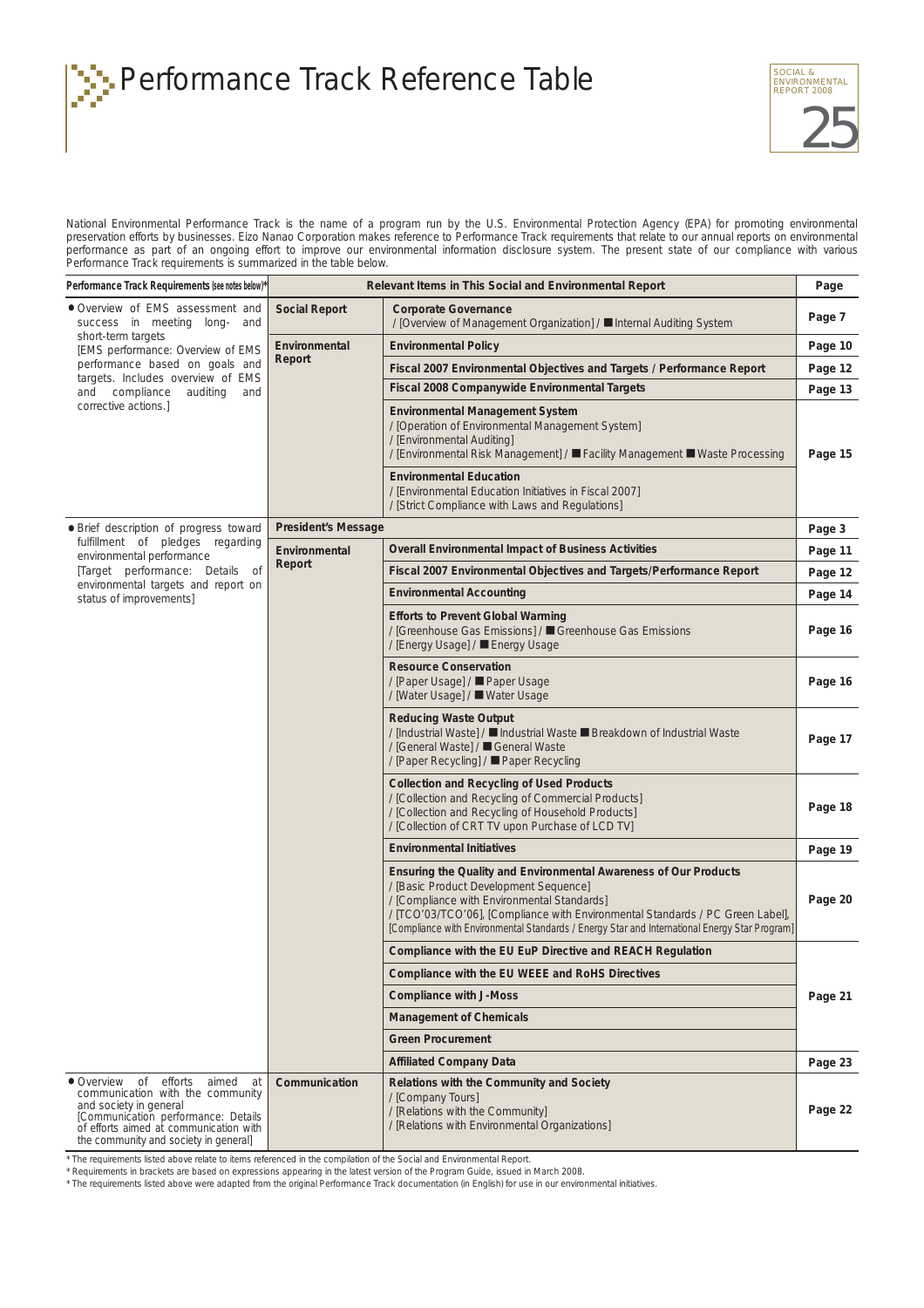Performance Track Reference Table  $\sum_{\text{REDORLEN} \atop \text{REPOR} \text{ ZOOB}}$ 



National Environmental Performance Track is the name of a program run by the U.S. Environmental Protection Agency (EPA) for promoting environmental preservation efforts by businesses. Eizo Nanao Corporation makes reference to Performance Track requirements that relate to our annual reports on environmental performance as part of an ongoing effort to improve our environmental information disclosure system. The present state of our compliance with various Performance Track requirements is summarized in the table below.

| Performance Track Requirements (see notes below)*                                                                                                                                                                            |                            | Relevant Items in This Social and Environmental Report                                                                                                                                                                                                                                                                                       | Page    |
|------------------------------------------------------------------------------------------------------------------------------------------------------------------------------------------------------------------------------|----------------------------|----------------------------------------------------------------------------------------------------------------------------------------------------------------------------------------------------------------------------------------------------------------------------------------------------------------------------------------------|---------|
| • Overview of EMS assessment and<br>success in meeting long- and                                                                                                                                                             | <b>Social Report</b>       | <b>Corporate Governance</b><br>/ [Overview of Management Organization] / ■ Internal Auditing System                                                                                                                                                                                                                                          | Page 7  |
| short-term targets<br>[EMS performance: Overview of EMS                                                                                                                                                                      | Environmental              | <b>Environmental Policy</b>                                                                                                                                                                                                                                                                                                                  | Page 10 |
| performance based on goals and<br>targets. Includes overview of EMS                                                                                                                                                          | Report                     | Fiscal 2007 Environmental Objectives and Targets / Performance Report                                                                                                                                                                                                                                                                        | Page 12 |
| and compliance<br>auditing<br>and                                                                                                                                                                                            |                            | Fiscal 2008 Companywide Environmental Targets                                                                                                                                                                                                                                                                                                | Page 13 |
| corrective actions.]                                                                                                                                                                                                         |                            | <b>Environmental Management System</b><br>/ [Operation of Environmental Management System]<br>/ [Environmental Auditing]<br>/ [Environmental Risk Management] / ■ Facility Management ■ Waste Processing<br><b>Environmental Education</b>                                                                                                   | Page 15 |
|                                                                                                                                                                                                                              |                            | / [Environmental Education Initiatives in Fiscal 2007]<br>/ [Strict Compliance with Laws and Regulations]                                                                                                                                                                                                                                    |         |
| · Brief description of progress toward                                                                                                                                                                                       | <b>President's Message</b> |                                                                                                                                                                                                                                                                                                                                              | Page 3  |
| fulfillment of pledges regarding<br>environmental performance                                                                                                                                                                | Environmental              | Overall Environmental Impact of Business Activities                                                                                                                                                                                                                                                                                          | Page 11 |
| [Target performance: Details of                                                                                                                                                                                              | Report                     | Fiscal 2007 Environmental Objectives and Targets/Performance Report                                                                                                                                                                                                                                                                          | Page 12 |
| environmental targets and report on<br>status of improvements]                                                                                                                                                               |                            | <b>Environmental Accounting</b>                                                                                                                                                                                                                                                                                                              | Page 14 |
|                                                                                                                                                                                                                              |                            | <b>Efforts to Prevent Global Warming</b><br>/ [Greenhouse Gas Emissions] / ■ Greenhouse Gas Emissions<br>/ [Energy Usage] / ■ Energy Usage                                                                                                                                                                                                   | Page 16 |
|                                                                                                                                                                                                                              |                            | <b>Resource Conservation</b><br>/ [Paper Usage] / ■ Paper Usage<br>/ [Water Usage] / ■ Water Usage                                                                                                                                                                                                                                           | Page 16 |
|                                                                                                                                                                                                                              |                            | <b>Reducing Waste Output</b><br>/ [Industrial Waste] / ■ Industrial Waste ■ Breakdown of Industrial Waste<br>/ [General Waste] / ■ General Waste<br>/ [Paper Recycling] / ■ Paper Recycling                                                                                                                                                  | Page 17 |
|                                                                                                                                                                                                                              |                            | <b>Collection and Recycling of Used Products</b><br>/ [Collection and Recycling of Commercial Products]<br>/ [Collection and Recycling of Household Products]<br>/ [Collection of CRT TV upon Purchase of LCD TV]                                                                                                                            | Page 18 |
|                                                                                                                                                                                                                              |                            | <b>Environmental Initiatives</b>                                                                                                                                                                                                                                                                                                             | Page 19 |
|                                                                                                                                                                                                                              |                            | Ensuring the Quality and Environmental Awareness of Our Products<br>/ [Basic Product Development Sequence]<br>/ [Compliance with Environmental Standards]<br>/ [TCO'03/TCO'06], [Compliance with Environmental Standards / PC Green Label],<br>[Compliance with Environmental Standards / Energy Star and International Energy Star Program] | Page 20 |
|                                                                                                                                                                                                                              |                            | Compliance with the EU EuP Directive and REACH Regulation                                                                                                                                                                                                                                                                                    |         |
|                                                                                                                                                                                                                              |                            | Compliance with the EU WEEE and RoHS Directives                                                                                                                                                                                                                                                                                              |         |
|                                                                                                                                                                                                                              |                            | <b>Compliance with J-Moss</b>                                                                                                                                                                                                                                                                                                                | Page 21 |
|                                                                                                                                                                                                                              |                            | <b>Management of Chemicals</b>                                                                                                                                                                                                                                                                                                               |         |
|                                                                                                                                                                                                                              |                            | <b>Green Procurement</b>                                                                                                                                                                                                                                                                                                                     |         |
|                                                                                                                                                                                                                              |                            | <b>Affiliated Company Data</b>                                                                                                                                                                                                                                                                                                               | Page 23 |
| • Overview of<br>efforts<br>aimed at<br>communication with the community<br>and society in general<br>[Communication performance: Details<br>of efforts aimed at communication with<br>the community and society in general] | Communication              | Relations with the Community and Society<br>/ [Company Tours]<br>/ [Relations with the Community]<br>/ [Relations with Environmental Organizations]                                                                                                                                                                                          | Page 22 |

\* The requirements listed above relate to items referenced in the compilation of the Social and Environmental Report.

\* Requirements in brackets are based on expressions appearing in the latest version of the Program Guide, issued in March 2008.

\* The requirements listed above were adapted from the original Performance Track documentation (in English) for use in our environmental initiatives.